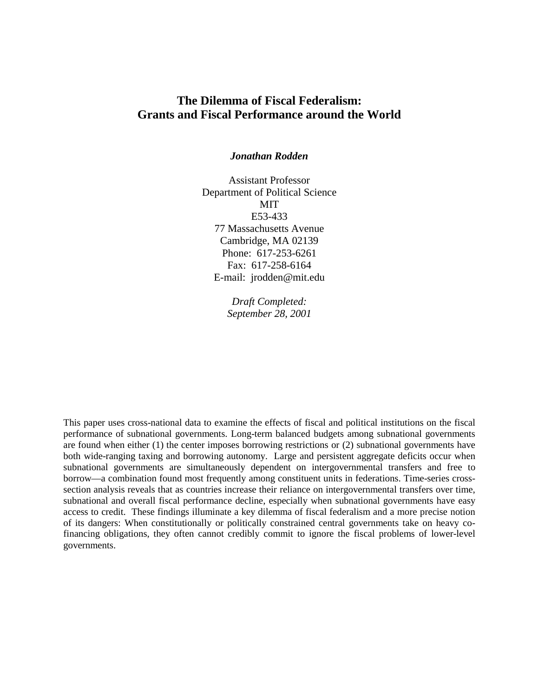# **The Dilemma of Fiscal Federalism: Grants and Fiscal Performance around the World**

## *Jonathan Rodden*

Assistant Professor Department of Political Science MIT E53-433 77 Massachusetts Avenue Cambridge, MA 02139 Phone: 617-253-6261 Fax: 617-258-6164 E-mail: jrodden@mit.edu

> *Draft Completed: September 28, 2001*

This paper uses cross-national data to examine the effects of fiscal and political institutions on the fiscal performance of subnational governments. Long-term balanced budgets among subnational governments are found when either (1) the center imposes borrowing restrictions or (2) subnational governments have both wide-ranging taxing and borrowing autonomy. Large and persistent aggregate deficits occur when subnational governments are simultaneously dependent on intergovernmental transfers and free to borrow—a combination found most frequently among constituent units in federations. Time-series crosssection analysis reveals that as countries increase their reliance on intergovernmental transfers over time, subnational and overall fiscal performance decline, especially when subnational governments have easy access to credit. These findings illuminate a key dilemma of fiscal federalism and a more precise notion of its dangers: When constitutionally or politically constrained central governments take on heavy cofinancing obligations, they often cannot credibly commit to ignore the fiscal problems of lower-level governments.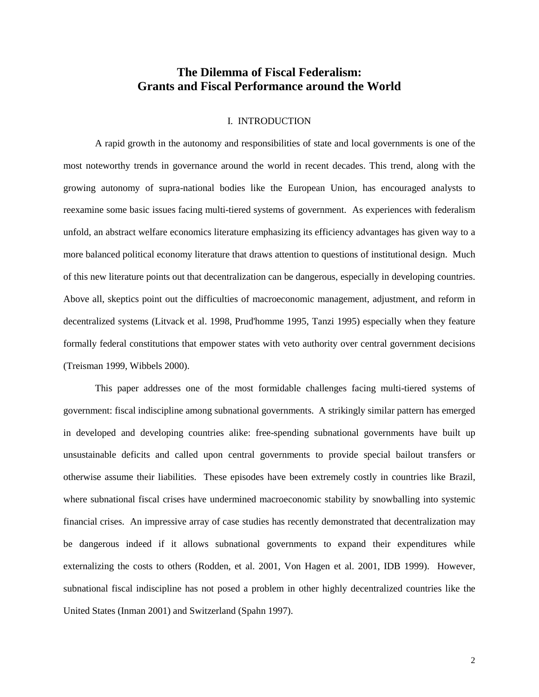# **The Dilemma of Fiscal Federalism: Grants and Fiscal Performance around the World**

# I. INTRODUCTION

A rapid growth in the autonomy and responsibilities of state and local governments is one of the most noteworthy trends in governance around the world in recent decades. This trend, along with the growing autonomy of supra-national bodies like the European Union, has encouraged analysts to reexamine some basic issues facing multi-tiered systems of government. As experiences with federalism unfold, an abstract welfare economics literature emphasizing its efficiency advantages has given way to a more balanced political economy literature that draws attention to questions of institutional design. Much of this new literature points out that decentralization can be dangerous, especially in developing countries. Above all, skeptics point out the difficulties of macroeconomic management, adjustment, and reform in decentralized systems (Litvack et al. 1998, Prud'homme 1995, Tanzi 1995) especially when they feature formally federal constitutions that empower states with veto authority over central government decisions (Treisman 1999, Wibbels 2000).

This paper addresses one of the most formidable challenges facing multi-tiered systems of government: fiscal indiscipline among subnational governments. A strikingly similar pattern has emerged in developed and developing countries alike: free-spending subnational governments have built up unsustainable deficits and called upon central governments to provide special bailout transfers or otherwise assume their liabilities. These episodes have been extremely costly in countries like Brazil, where subnational fiscal crises have undermined macroeconomic stability by snowballing into systemic financial crises. An impressive array of case studies has recently demonstrated that decentralization may be dangerous indeed if it allows subnational governments to expand their expenditures while externalizing the costs to others (Rodden, et al. 2001, Von Hagen et al. 2001, IDB 1999). However, subnational fiscal indiscipline has not posed a problem in other highly decentralized countries like the United States (Inman 2001) and Switzerland (Spahn 1997).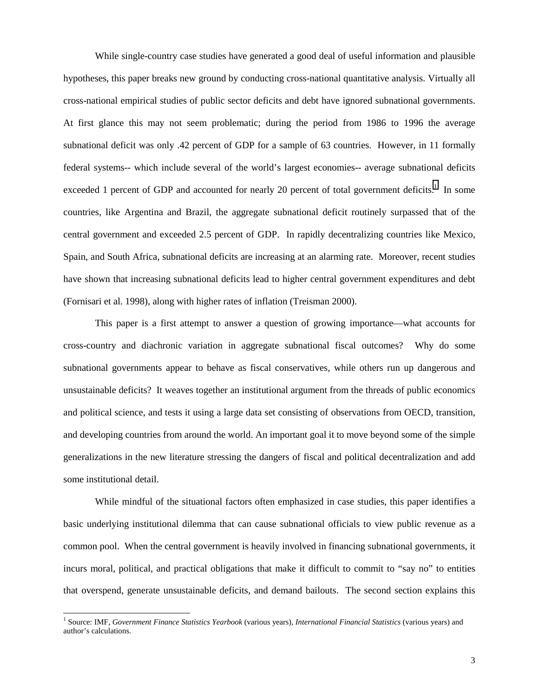While single-country case studies have generated a good deal of useful information and plausible hypotheses, this paper breaks new ground by conducting cross-national quantitative analysis. Virtually all cross-national empirical studies of public sector deficits and debt have ignored subnational governments. At first glance this may not seem problematic; during the period from 1986 to 1996 the average subnational deficit was only .42 percent of GDP for a sample of 63 countries. However, in 11 formally federal systems-- which include several of the world's largest economies-- average subnational deficits exceeded 1 percent of GDP and accounted for nearly 20 percent of total government deficits.<sup>1</sup> In some countries, like Argentina and Brazil, the aggregate subnational deficit routinely surpassed that of the central government and exceeded 2.5 percent of GDP. In rapidly decentralizing countries like Mexico, Spain, and South Africa, subnational deficits are increasing at an alarming rate. Moreover, recent studies have shown that increasing subnational deficits lead to higher central government expenditures and debt (Fornisari et al. 1998), along with higher rates of inflation (Treisman 2000).

This paper is a first attempt to answer a question of growing importance—what accounts for cross-country and diachronic variation in aggregate subnational fiscal outcomes? Why do some subnational governments appear to behave as fiscal conservatives, while others run up dangerous and unsustainable deficits? It weaves together an institutional argument from the threads of public economics and political science, and tests it using a large data set consisting of observations from OECD, transition, and developing countries from around the world. An important goal it to move beyond some of the simple generalizations in the new literature stressing the dangers of fiscal and political decentralization and add some institutional detail.

While mindful of the situational factors often emphasized in case studies, this paper identifies a basic underlying institutional dilemma that can cause subnational officials to view public revenue as a common pool. When the central government is heavily involved in financing subnational governments, it incurs moral, political, and practical obligations that make it difficult to commit to "say no" to entities that overspend, generate unsustainable deficits, and demand bailouts. The second section explains this

 $\overline{a}$ 

<sup>1</sup> Source: IMF, *Government Finance Statistics Yearbook* (various years), *International Financial Statistics* (various years) and author's calculations.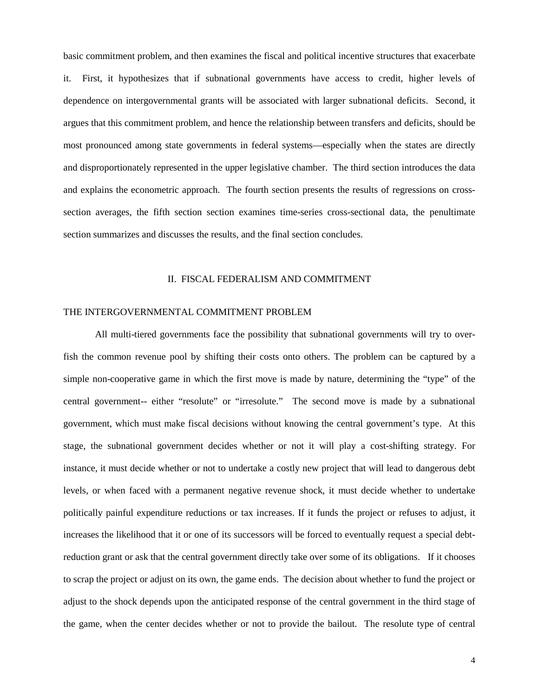basic commitment problem, and then examines the fiscal and political incentive structures that exacerbate it. First, it hypothesizes that if subnational governments have access to credit, higher levels of dependence on intergovernmental grants will be associated with larger subnational deficits. Second, it argues that this commitment problem, and hence the relationship between transfers and deficits, should be most pronounced among state governments in federal systems—especially when the states are directly and disproportionately represented in the upper legislative chamber. The third section introduces the data and explains the econometric approach. The fourth section presents the results of regressions on crosssection averages, the fifth section section examines time-series cross-sectional data, the penultimate section summarizes and discusses the results, and the final section concludes.

### II. FISCAL FEDERALISM AND COMMITMENT

## THE INTERGOVERNMENTAL COMMITMENT PROBLEM

All multi-tiered governments face the possibility that subnational governments will try to overfish the common revenue pool by shifting their costs onto others. The problem can be captured by a simple non-cooperative game in which the first move is made by nature, determining the "type" of the central government-- either "resolute" or "irresolute." The second move is made by a subnational government, which must make fiscal decisions without knowing the central government's type. At this stage, the subnational government decides whether or not it will play a cost-shifting strategy. For instance, it must decide whether or not to undertake a costly new project that will lead to dangerous debt levels, or when faced with a permanent negative revenue shock, it must decide whether to undertake politically painful expenditure reductions or tax increases. If it funds the project or refuses to adjust, it increases the likelihood that it or one of its successors will be forced to eventually request a special debtreduction grant or ask that the central government directly take over some of its obligations. If it chooses to scrap the project or adjust on its own, the game ends. The decision about whether to fund the project or adjust to the shock depends upon the anticipated response of the central government in the third stage of the game, when the center decides whether or not to provide the bailout. The resolute type of central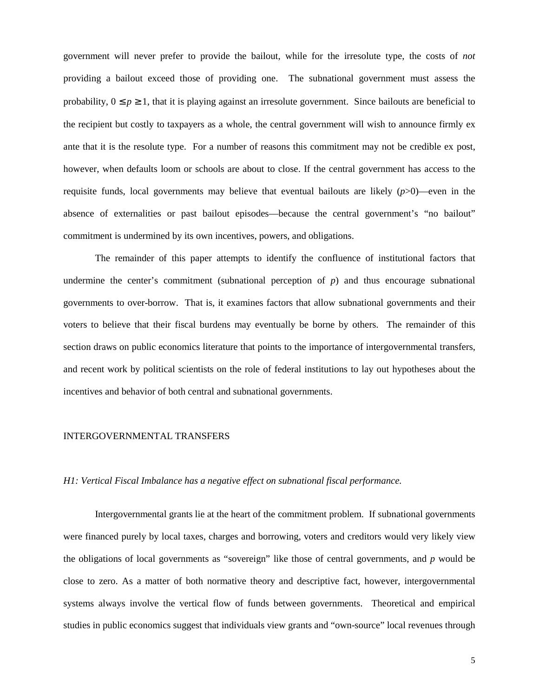government will never prefer to provide the bailout, while for the irresolute type, the costs of *not* providing a bailout exceed those of providing one. The subnational government must assess the probability,  $0 \le p \ge 1$ , that it is playing against an irresolute government. Since bailouts are beneficial to the recipient but costly to taxpayers as a whole, the central government will wish to announce firmly ex ante that it is the resolute type. For a number of reasons this commitment may not be credible ex post, however, when defaults loom or schools are about to close. If the central government has access to the requisite funds, local governments may believe that eventual bailouts are likely (*p*>0)—even in the absence of externalities or past bailout episodes—because the central government's "no bailout" commitment is undermined by its own incentives, powers, and obligations.

The remainder of this paper attempts to identify the confluence of institutional factors that undermine the center's commitment (subnational perception of  $p$ ) and thus encourage subnational governments to over-borrow. That is, it examines factors that allow subnational governments and their voters to believe that their fiscal burdens may eventually be borne by others. The remainder of this section draws on public economics literature that points to the importance of intergovernmental transfers, and recent work by political scientists on the role of federal institutions to lay out hypotheses about the incentives and behavior of both central and subnational governments.

## INTERGOVERNMENTAL TRANSFERS

#### *H1: Vertical Fiscal Imbalance has a negative effect on subnational fiscal performance.*

Intergovernmental grants lie at the heart of the commitment problem. If subnational governments were financed purely by local taxes, charges and borrowing, voters and creditors would very likely view the obligations of local governments as "sovereign" like those of central governments, and *p* would be close to zero. As a matter of both normative theory and descriptive fact, however, intergovernmental systems always involve the vertical flow of funds between governments. Theoretical and empirical studies in public economics suggest that individuals view grants and "own-source" local revenues through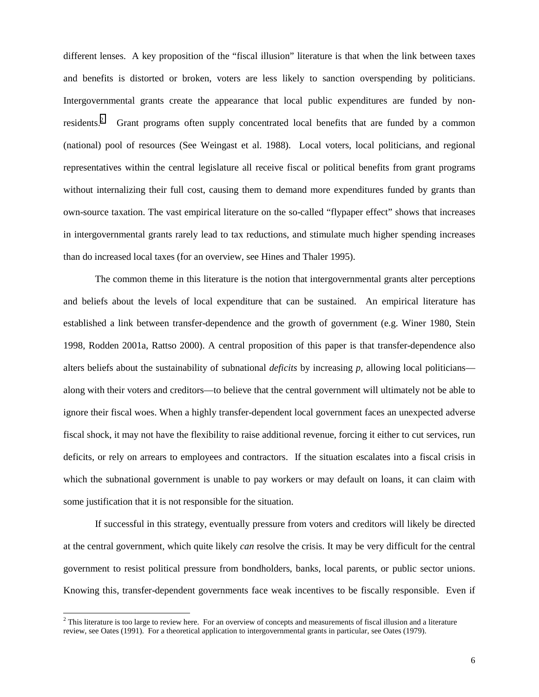different lenses. A key proposition of the "fiscal illusion" literature is that when the link between taxes and benefits is distorted or broken, voters are less likely to sanction overspending by politicians. Intergovernmental grants create the appearance that local public expenditures are funded by nonresidents.<sup>2</sup> Grant programs often supply concentrated local benefits that are funded by a common (national) pool of resources (See Weingast et al. 1988). Local voters, local politicians, and regional representatives within the central legislature all receive fiscal or political benefits from grant programs without internalizing their full cost, causing them to demand more expenditures funded by grants than own-source taxation. The vast empirical literature on the so-called "flypaper effect" shows that increases in intergovernmental grants rarely lead to tax reductions, and stimulate much higher spending increases than do increased local taxes (for an overview, see Hines and Thaler 1995).

The common theme in this literature is the notion that intergovernmental grants alter perceptions and beliefs about the levels of local expenditure that can be sustained. An empirical literature has established a link between transfer-dependence and the growth of government (e.g. Winer 1980, Stein 1998, Rodden 2001a, Rattso 2000). A central proposition of this paper is that transfer-dependence also alters beliefs about the sustainability of subnational *deficits* by increasing *p,* allowing local politicians along with their voters and creditors—to believe that the central government will ultimately not be able to ignore their fiscal woes. When a highly transfer-dependent local government faces an unexpected adverse fiscal shock, it may not have the flexibility to raise additional revenue, forcing it either to cut services, run deficits, or rely on arrears to employees and contractors. If the situation escalates into a fiscal crisis in which the subnational government is unable to pay workers or may default on loans, it can claim with some justification that it is not responsible for the situation.

If successful in this strategy, eventually pressure from voters and creditors will likely be directed at the central government, which quite likely *can* resolve the crisis. It may be very difficult for the central government to resist political pressure from bondholders, banks, local parents, or public sector unions. Knowing this, transfer-dependent governments face weak incentives to be fiscally responsible. Even if

 $\overline{a}$ 

<sup>&</sup>lt;sup>2</sup> This literature is too large to review here. For an overview of concepts and measurements of fiscal illusion and a literature review, see Oates (1991). For a theoretical application to intergovernmental grants in particular, see Oates (1979).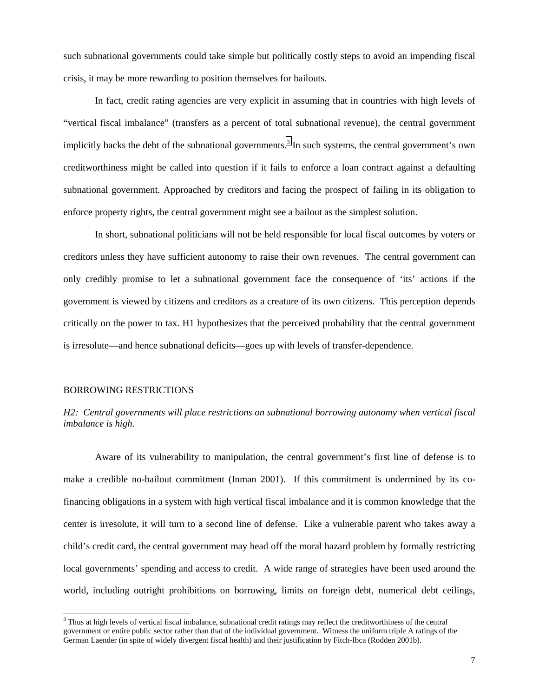such subnational governments could take simple but politically costly steps to avoid an impending fiscal crisis, it may be more rewarding to position themselves for bailouts.

In fact, credit rating agencies are very explicit in assuming that in countries with high levels of "vertical fiscal imbalance" (transfers as a percent of total subnational revenue), the central government implicitly backs the debt of the subnational governments.<sup>3</sup> In such systems, the central government's own creditworthiness might be called into question if it fails to enforce a loan contract against a defaulting subnational government. Approached by creditors and facing the prospect of failing in its obligation to enforce property rights, the central government might see a bailout as the simplest solution.

In short, subnational politicians will not be held responsible for local fiscal outcomes by voters or creditors unless they have sufficient autonomy to raise their own revenues. The central government can only credibly promise to let a subnational government face the consequence of 'its' actions if the government is viewed by citizens and creditors as a creature of its own citizens. This perception depends critically on the power to tax. H1 hypothesizes that the perceived probability that the central government is irresolute—and hence subnational deficits—goes up with levels of transfer-dependence.

#### BORROWING RESTRICTIONS

 $\overline{a}$ 

# *H2: Central governments will place restrictions on subnational borrowing autonomy when vertical fiscal imbalance is high.*

Aware of its vulnerability to manipulation, the central government's first line of defense is to make a credible no-bailout commitment (Inman 2001). If this commitment is undermined by its cofinancing obligations in a system with high vertical fiscal imbalance and it is common knowledge that the center is irresolute, it will turn to a second line of defense. Like a vulnerable parent who takes away a child's credit card, the central government may head off the moral hazard problem by formally restricting local governments' spending and access to credit. A wide range of strategies have been used around the world, including outright prohibitions on borrowing, limits on foreign debt, numerical debt ceilings,

<sup>&</sup>lt;sup>3</sup> Thus at high levels of vertical fiscal imbalance, subnational credit ratings may reflect the creditworthiness of the central government or entire public sector rather than that of the individual government. Witness the uniform triple A ratings of the German Laender (in spite of widely divergent fiscal health) and their justification by Fitch-Ibca (Rodden 2001b).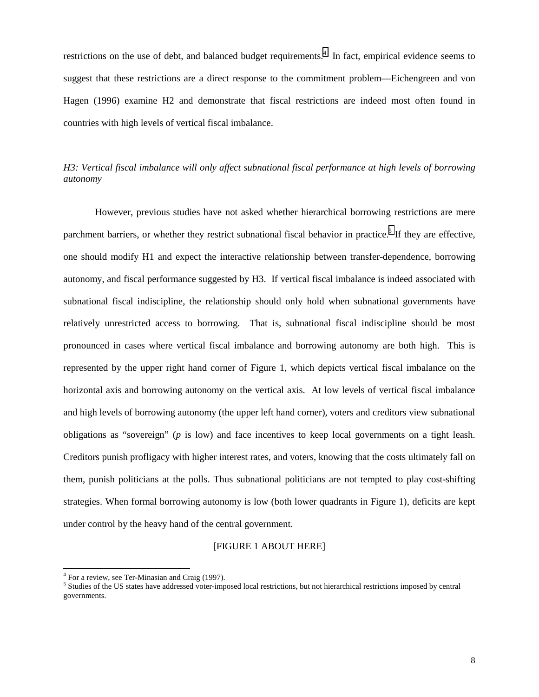restrictions on the use of debt, and balanced budget requirements.<sup>4</sup> In fact, empirical evidence seems to suggest that these restrictions are a direct response to the commitment problem—Eichengreen and von Hagen (1996) examine H2 and demonstrate that fiscal restrictions are indeed most often found in countries with high levels of vertical fiscal imbalance.

# *H3: Vertical fiscal imbalance will only affect subnational fiscal performance at high levels of borrowing autonomy*

However, previous studies have not asked whether hierarchical borrowing restrictions are mere parchment barriers, or whether they restrict subnational fiscal behavior in practice.<sup>5</sup> If they are effective, one should modify H1 and expect the interactive relationship between transfer-dependence, borrowing autonomy, and fiscal performance suggested by H3. If vertical fiscal imbalance is indeed associated with subnational fiscal indiscipline, the relationship should only hold when subnational governments have relatively unrestricted access to borrowing. That is, subnational fiscal indiscipline should be most pronounced in cases where vertical fiscal imbalance and borrowing autonomy are both high. This is represented by the upper right hand corner of Figure 1, which depicts vertical fiscal imbalance on the horizontal axis and borrowing autonomy on the vertical axis. At low levels of vertical fiscal imbalance and high levels of borrowing autonomy (the upper left hand corner), voters and creditors view subnational obligations as "sovereign" (*p* is low) and face incentives to keep local governments on a tight leash. Creditors punish profligacy with higher interest rates, and voters, knowing that the costs ultimately fall on them, punish politicians at the polls. Thus subnational politicians are not tempted to play cost-shifting strategies. When formal borrowing autonomy is low (both lower quadrants in Figure 1), deficits are kept under control by the heavy hand of the central government.

### [FIGURE 1 ABOUT HERE]

 $\overline{a}$ 

<sup>&</sup>lt;sup>4</sup> For a review, see Ter-Minasian and Craig (1997).

<sup>&</sup>lt;sup>5</sup> Studies of the US states have addressed voter-imposed local restrictions, but not hierarchical restrictions imposed by central governments.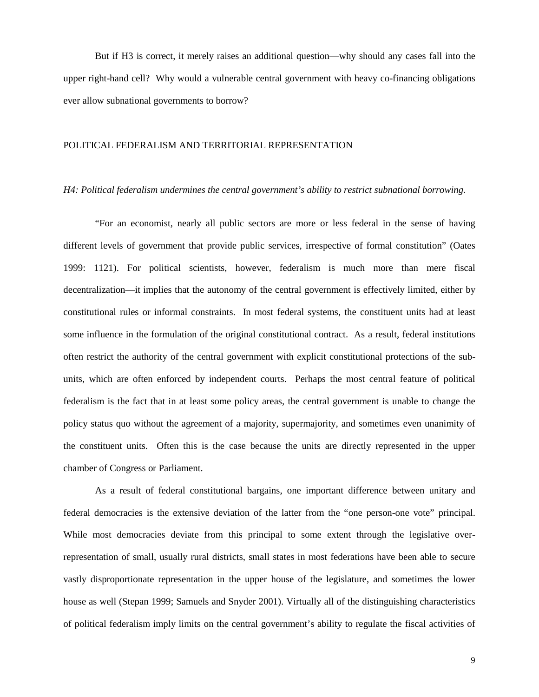But if H3 is correct, it merely raises an additional question—why should any cases fall into the upper right-hand cell? Why would a vulnerable central government with heavy co-financing obligations ever allow subnational governments to borrow?

## POLITICAL FEDERALISM AND TERRITORIAL REPRESENTATION

## *H4: Political federalism undermines the central government's ability to restrict subnational borrowing.*

"For an economist, nearly all public sectors are more or less federal in the sense of having different levels of government that provide public services, irrespective of formal constitution" (Oates 1999: 1121). For political scientists, however, federalism is much more than mere fiscal decentralization—it implies that the autonomy of the central government is effectively limited, either by constitutional rules or informal constraints. In most federal systems, the constituent units had at least some influence in the formulation of the original constitutional contract. As a result, federal institutions often restrict the authority of the central government with explicit constitutional protections of the subunits, which are often enforced by independent courts. Perhaps the most central feature of political federalism is the fact that in at least some policy areas, the central government is unable to change the policy status quo without the agreement of a majority, supermajority, and sometimes even unanimity of the constituent units. Often this is the case because the units are directly represented in the upper chamber of Congress or Parliament.

As a result of federal constitutional bargains, one important difference between unitary and federal democracies is the extensive deviation of the latter from the "one person-one vote" principal. While most democracies deviate from this principal to some extent through the legislative overrepresentation of small, usually rural districts, small states in most federations have been able to secure vastly disproportionate representation in the upper house of the legislature, and sometimes the lower house as well (Stepan 1999; Samuels and Snyder 2001). Virtually all of the distinguishing characteristics of political federalism imply limits on the central government's ability to regulate the fiscal activities of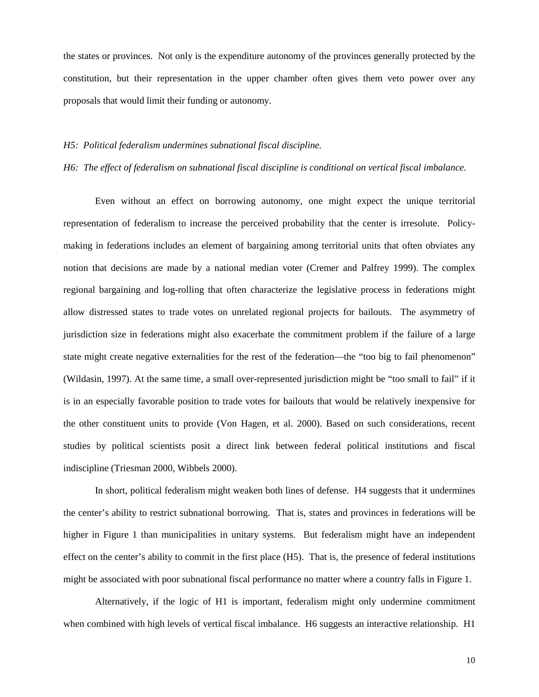the states or provinces. Not only is the expenditure autonomy of the provinces generally protected by the constitution, but their representation in the upper chamber often gives them veto power over any proposals that would limit their funding or autonomy.

### *H5: Political federalism undermines subnational fiscal discipline.*

#### *H6: The effect of federalism on subnational fiscal discipline is conditional on vertical fiscal imbalance.*

Even without an effect on borrowing autonomy, one might expect the unique territorial representation of federalism to increase the perceived probability that the center is irresolute. Policymaking in federations includes an element of bargaining among territorial units that often obviates any notion that decisions are made by a national median voter (Cremer and Palfrey 1999). The complex regional bargaining and log-rolling that often characterize the legislative process in federations might allow distressed states to trade votes on unrelated regional projects for bailouts. The asymmetry of jurisdiction size in federations might also exacerbate the commitment problem if the failure of a large state might create negative externalities for the rest of the federation—the "too big to fail phenomenon" (Wildasin, 1997). At the same time, a small over-represented jurisdiction might be "too small to fail" if it is in an especially favorable position to trade votes for bailouts that would be relatively inexpensive for the other constituent units to provide (Von Hagen, et al. 2000). Based on such considerations, recent studies by political scientists posit a direct link between federal political institutions and fiscal indiscipline (Triesman 2000, Wibbels 2000).

In short, political federalism might weaken both lines of defense. H4 suggests that it undermines the center's ability to restrict subnational borrowing. That is, states and provinces in federations will be higher in Figure 1 than municipalities in unitary systems. But federalism might have an independent effect on the center's ability to commit in the first place (H5). That is, the presence of federal institutions might be associated with poor subnational fiscal performance no matter where a country falls in Figure 1.

Alternatively, if the logic of H1 is important, federalism might only undermine commitment when combined with high levels of vertical fiscal imbalance. H6 suggests an interactive relationship. H1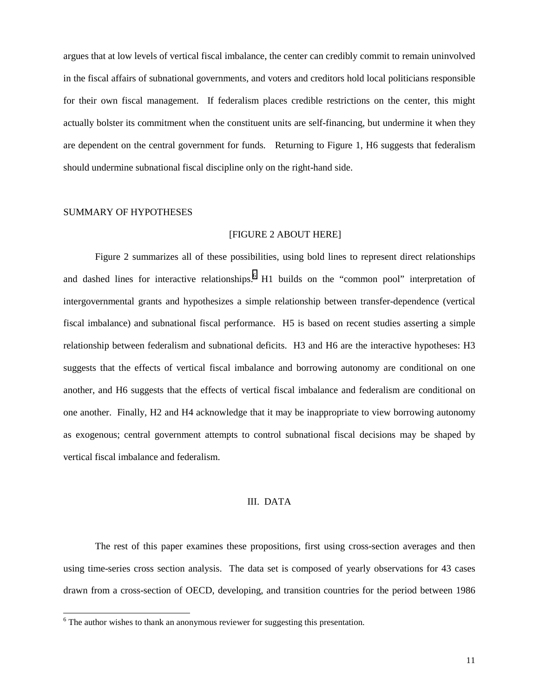argues that at low levels of vertical fiscal imbalance, the center can credibly commit to remain uninvolved in the fiscal affairs of subnational governments, and voters and creditors hold local politicians responsible for their own fiscal management. If federalism places credible restrictions on the center, this might actually bolster its commitment when the constituent units are self-financing, but undermine it when they are dependent on the central government for funds. Returning to Figure 1, H6 suggests that federalism should undermine subnational fiscal discipline only on the right-hand side.

#### SUMMARY OF HYPOTHESES

 $\overline{a}$ 

### [FIGURE 2 ABOUT HERE]

Figure 2 summarizes all of these possibilities, using bold lines to represent direct relationships and dashed lines for interactive relationships.<sup>6</sup> H1 builds on the "common pool" interpretation of intergovernmental grants and hypothesizes a simple relationship between transfer-dependence (vertical fiscal imbalance) and subnational fiscal performance. H5 is based on recent studies asserting a simple relationship between federalism and subnational deficits. H3 and H6 are the interactive hypotheses: H3 suggests that the effects of vertical fiscal imbalance and borrowing autonomy are conditional on one another, and H6 suggests that the effects of vertical fiscal imbalance and federalism are conditional on one another. Finally, H2 and H4 acknowledge that it may be inappropriate to view borrowing autonomy as exogenous; central government attempts to control subnational fiscal decisions may be shaped by vertical fiscal imbalance and federalism.

## III. DATA

The rest of this paper examines these propositions, first using cross-section averages and then using time-series cross section analysis. The data set is composed of yearly observations for 43 cases drawn from a cross-section of OECD, developing, and transition countries for the period between 1986

 $6$  The author wishes to thank an anonymous reviewer for suggesting this presentation.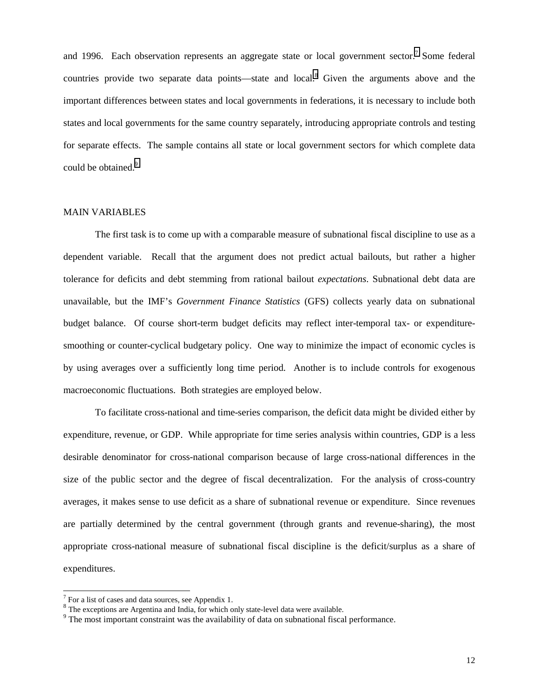and 1996. Each observation represents an aggregate state or local government sector.<sup>7</sup> Some federal countries provide two separate data points—state and local.<sup>8</sup> Given the arguments above and the important differences between states and local governments in federations, it is necessary to include both states and local governments for the same country separately, introducing appropriate controls and testing for separate effects. The sample contains all state or local government sectors for which complete data could be obtained.<sup>9</sup>

## MAIN VARIABLES

The first task is to come up with a comparable measure of subnational fiscal discipline to use as a dependent variable. Recall that the argument does not predict actual bailouts, but rather a higher tolerance for deficits and debt stemming from rational bailout *expectations*. Subnational debt data are unavailable, but the IMF's *Government Finance Statistics* (GFS) collects yearly data on subnational budget balance. Of course short-term budget deficits may reflect inter-temporal tax- or expendituresmoothing or counter-cyclical budgetary policy. One way to minimize the impact of economic cycles is by using averages over a sufficiently long time period. Another is to include controls for exogenous macroeconomic fluctuations. Both strategies are employed below.

To facilitate cross-national and time-series comparison, the deficit data might be divided either by expenditure, revenue, or GDP. While appropriate for time series analysis within countries, GDP is a less desirable denominator for cross-national comparison because of large cross-national differences in the size of the public sector and the degree of fiscal decentralization. For the analysis of cross-country averages, it makes sense to use deficit as a share of subnational revenue or expenditure. Since revenues are partially determined by the central government (through grants and revenue-sharing), the most appropriate cross-national measure of subnational fiscal discipline is the deficit/surplus as a share of expenditures.

l

 $7$  For a list of cases and data sources, see Appendix 1.

<sup>&</sup>lt;sup>8</sup> The exceptions are Argentina and India, for which only state-level data were available.

 $9<sup>9</sup>$  The most important constraint was the availability of data on subnational fiscal performance.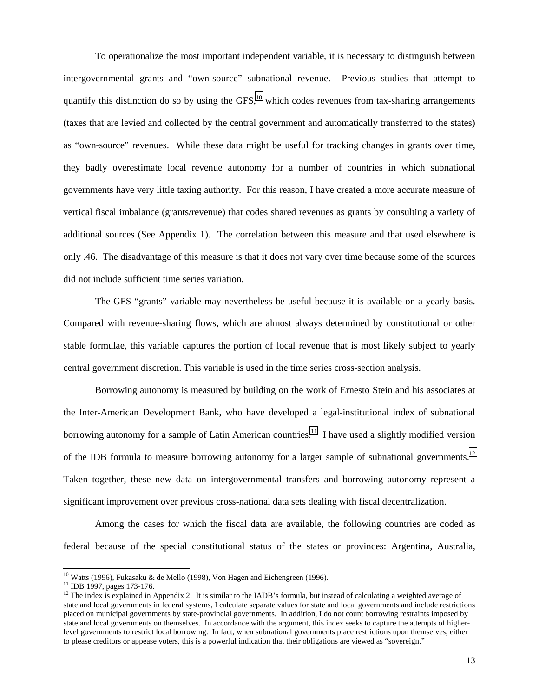To operationalize the most important independent variable, it is necessary to distinguish between intergovernmental grants and "own-source" subnational revenue. Previous studies that attempt to quantify this distinction do so by using the GFS, $^{10}$  which codes revenues from tax-sharing arrangements (taxes that are levied and collected by the central government and automatically transferred to the states) as "own-source" revenues. While these data might be useful for tracking changes in grants over time, they badly overestimate local revenue autonomy for a number of countries in which subnational governments have very little taxing authority. For this reason, I have created a more accurate measure of vertical fiscal imbalance (grants/revenue) that codes shared revenues as grants by consulting a variety of additional sources (See Appendix 1). The correlation between this measure and that used elsewhere is only .46. The disadvantage of this measure is that it does not vary over time because some of the sources did not include sufficient time series variation.

The GFS "grants" variable may nevertheless be useful because it is available on a yearly basis. Compared with revenue-sharing flows, which are almost always determined by constitutional or other stable formulae, this variable captures the portion of local revenue that is most likely subject to yearly central government discretion. This variable is used in the time series cross-section analysis.

Borrowing autonomy is measured by building on the work of Ernesto Stein and his associates at the Inter-American Development Bank, who have developed a legal-institutional index of subnational borrowing autonomy for a sample of Latin American countries.<sup>11</sup> I have used a slightly modified version of the IDB formula to measure borrowing autonomy for a larger sample of subnational governments.<sup>12</sup> Taken together, these new data on intergovernmental transfers and borrowing autonomy represent a significant improvement over previous cross-national data sets dealing with fiscal decentralization.

Among the cases for which the fiscal data are available, the following countries are coded as federal because of the special constitutional status of the states or provinces: Argentina, Australia,

 $\overline{a}$ 

 $10$  Watts (1996), Fukasaku & de Mello (1998), Von Hagen and Eichengreen (1996).

<sup>11</sup> IDB 1997, pages 173-176.

<sup>&</sup>lt;sup>12</sup> The index is explained in Appendix 2. It is similar to the IADB's formula, but instead of calculating a weighted average of state and local governments in federal systems, I calculate separate values for state and local governments and include restrictions placed on municipal governments by state-provincial governments. In addition, I do not count borrowing restraints imposed by state and local governments on themselves. In accordance with the argument, this index seeks to capture the attempts of higherlevel governments to restrict local borrowing. In fact, when subnational governments place restrictions upon themselves, either to please creditors or appease voters, this is a powerful indication that their obligations are viewed as "sovereign."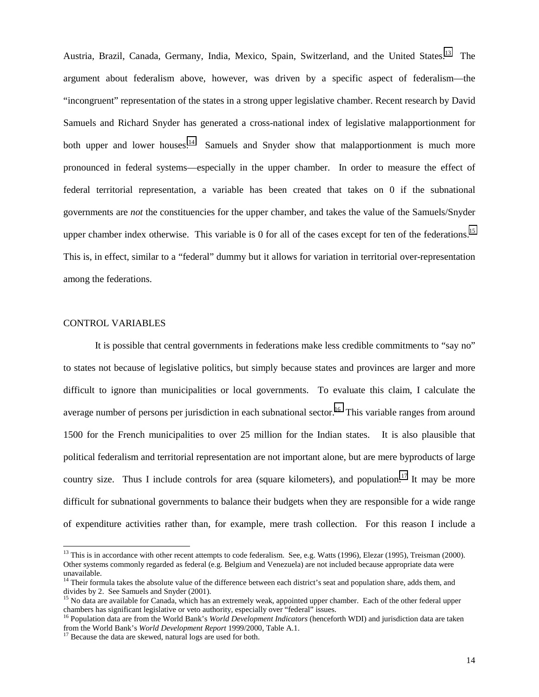Austria, Brazil, Canada, Germany, India, Mexico, Spain, Switzerland, and the United States.<sup>13</sup> The argument about federalism above, however, was driven by a specific aspect of federalism—the "incongruent" representation of the states in a strong upper legislative chamber. Recent research by David Samuels and Richard Snyder has generated a cross-national index of legislative malapportionment for both upper and lower houses. $14$  Samuels and Snyder show that malapportionment is much more pronounced in federal systems—especially in the upper chamber. In order to measure the effect of federal territorial representation, a variable has been created that takes on 0 if the subnational governments are *not* the constituencies for the upper chamber, and takes the value of the Samuels/Snyder upper chamber index otherwise. This variable is 0 for all of the cases except for ten of the federations.<sup>15</sup> This is, in effect, similar to a "federal" dummy but it allows for variation in territorial over-representation among the federations.

## CONTROL VARIABLES

l

It is possible that central governments in federations make less credible commitments to "say no" to states not because of legislative politics, but simply because states and provinces are larger and more difficult to ignore than municipalities or local governments. To evaluate this claim, I calculate the average number of persons per jurisdiction in each subnational sector.<sup>16</sup> This variable ranges from around 1500 for the French municipalities to over 25 million for the Indian states. It is also plausible that political federalism and territorial representation are not important alone, but are mere byproducts of large country size. Thus I include controls for area (square kilometers), and population.<sup>17</sup> It may be more difficult for subnational governments to balance their budgets when they are responsible for a wide range of expenditure activities rather than, for example, mere trash collection. For this reason I include a

<sup>&</sup>lt;sup>13</sup> This is in accordance with other recent attempts to code federalism. See, e.g. Watts (1996), Elezar (1995), Treisman (2000). Other systems commonly regarded as federal (e.g. Belgium and Venezuela) are not included because appropriate data were unavailable.

<sup>&</sup>lt;sup>14</sup> Their formula takes the absolute value of the difference between each district's seat and population share, adds them, and divides by 2. See Samuels and Snyder (2001).

<sup>&</sup>lt;sup>15</sup> No data are available for Canada, which has an extremely weak, appointed upper chamber. Each of the other federal upper chambers has significant legislative or veto authority, especially over "federal" issues.

<sup>16</sup> Population data are from the World Bank's *World Development Indicators* (henceforth WDI) and jurisdiction data are taken from the World Bank's *World Development Report* 1999/2000, Table A.1. 17 Because the data are skewed, natural logs are used for both.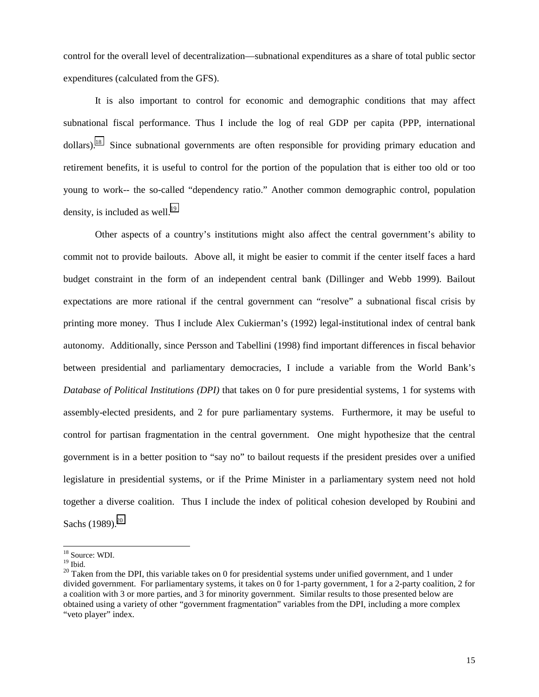control for the overall level of decentralization—subnational expenditures as a share of total public sector expenditures (calculated from the GFS).

It is also important to control for economic and demographic conditions that may affect subnational fiscal performance. Thus I include the log of real GDP per capita (PPP, international dollars).<sup>18</sup> Since subnational governments are often responsible for providing primary education and retirement benefits, it is useful to control for the portion of the population that is either too old or too young to work-- the so-called "dependency ratio." Another common demographic control, population density, is included as well.<sup>19</sup>

 Other aspects of a country's institutions might also affect the central government's ability to commit not to provide bailouts. Above all, it might be easier to commit if the center itself faces a hard budget constraint in the form of an independent central bank (Dillinger and Webb 1999). Bailout expectations are more rational if the central government can "resolve" a subnational fiscal crisis by printing more money. Thus I include Alex Cukierman's (1992) legal-institutional index of central bank autonomy. Additionally, since Persson and Tabellini (1998) find important differences in fiscal behavior between presidential and parliamentary democracies, I include a variable from the World Bank's *Database of Political Institutions (DPI)* that takes on 0 for pure presidential systems, 1 for systems with assembly-elected presidents, and 2 for pure parliamentary systems. Furthermore, it may be useful to control for partisan fragmentation in the central government. One might hypothesize that the central government is in a better position to "say no" to bailout requests if the president presides over a unified legislature in presidential systems, or if the Prime Minister in a parliamentary system need not hold together a diverse coalition. Thus I include the index of political cohesion developed by Roubini and Sachs  $(1989)^{20}$ 

l

<sup>&</sup>lt;sup>18</sup> Source: WDI.

 $19$  Ibid.

 $^{20}$  Taken from the DPI, this variable takes on 0 for presidential systems under unified government, and 1 under divided government. For parliamentary systems, it takes on 0 for 1-party government, 1 for a 2-party coalition, 2 for a coalition with 3 or more parties, and 3 for minority government. Similar results to those presented below are obtained using a variety of other "government fragmentation" variables from the DPI, including a more complex "veto player" index.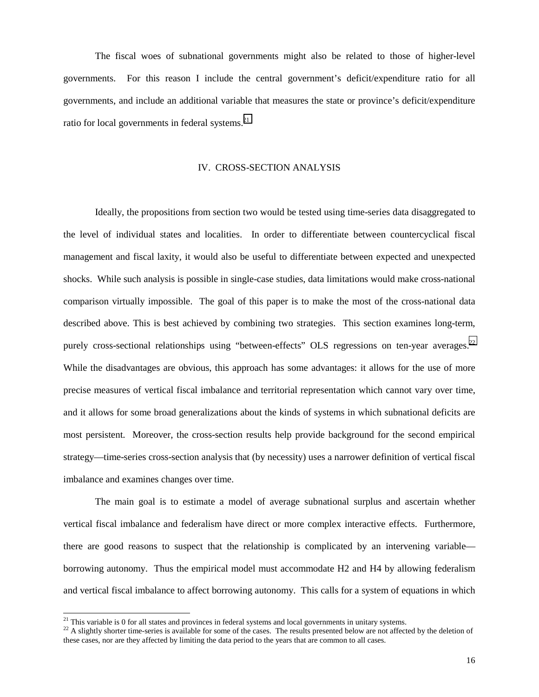The fiscal woes of subnational governments might also be related to those of higher-level governments. For this reason I include the central government's deficit/expenditure ratio for all governments, and include an additional variable that measures the state or province's deficit/expenditure ratio for local governments in federal systems.<sup>21</sup>

#### IV. CROSS-SECTION ANALYSIS

Ideally, the propositions from section two would be tested using time-series data disaggregated to the level of individual states and localities. In order to differentiate between countercyclical fiscal management and fiscal laxity, it would also be useful to differentiate between expected and unexpected shocks. While such analysis is possible in single-case studies, data limitations would make cross-national comparison virtually impossible. The goal of this paper is to make the most of the cross-national data described above. This is best achieved by combining two strategies. This section examines long-term, purely cross-sectional relationships using "between-effects" OLS regressions on ten-year averages.<sup>22</sup> While the disadvantages are obvious, this approach has some advantages: it allows for the use of more precise measures of vertical fiscal imbalance and territorial representation which cannot vary over time, and it allows for some broad generalizations about the kinds of systems in which subnational deficits are most persistent. Moreover, the cross-section results help provide background for the second empirical strategy—time-series cross-section analysis that (by necessity) uses a narrower definition of vertical fiscal imbalance and examines changes over time.

The main goal is to estimate a model of average subnational surplus and ascertain whether vertical fiscal imbalance and federalism have direct or more complex interactive effects. Furthermore, there are good reasons to suspect that the relationship is complicated by an intervening variable borrowing autonomy. Thus the empirical model must accommodate H2 and H4 by allowing federalism and vertical fiscal imbalance to affect borrowing autonomy. This calls for a system of equations in which

 $\overline{a}$ 

 $2<sup>1</sup>$  This variable is 0 for all states and provinces in federal systems and local governments in unitary systems.

<sup>&</sup>lt;sup>22</sup> A slightly shorter time-series is available for some of the cases. The results presented below are not affected by the deletion of these cases, nor are they affected by limiting the data period to the years that are common to all cases.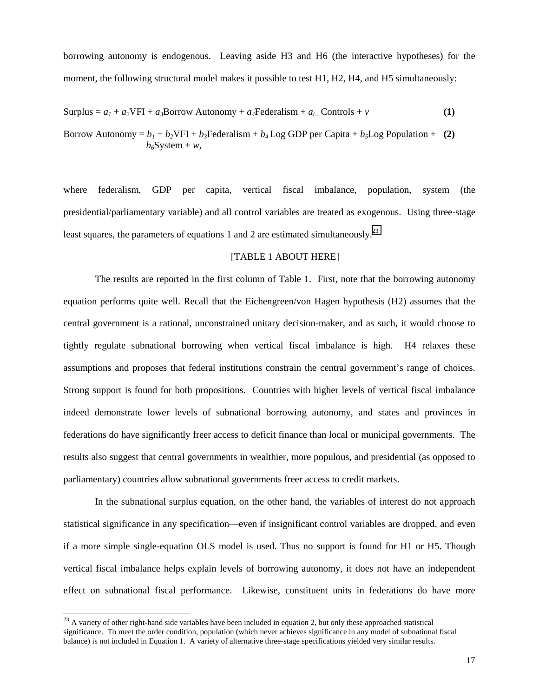borrowing autonomy is endogenous. Leaving aside H3 and H6 (the interactive hypotheses) for the moment, the following structural model makes it possible to test H1, H2, H4, and H5 simultaneously:

$$
Surplus = a_1 + a_2 VFI + a_3 Borrow Autonomy + a_4 Federalism + a_{i...} Controls + v
$$
 (1)

Borrow Autonomy =  $b_1 + b_2 VFI + b_3F$  ederalism +  $b_4$  Log GDP per Capita +  $b_3$  Log Population + (2)  $b_6$ System + *w*,

where federalism, GDP per capita, vertical fiscal imbalance, population, system (the presidential/parliamentary variable) and all control variables are treated as exogenous. Using three-stage least squares, the parameters of equations 1 and 2 are estimated simultaneously.<sup>23</sup>

# [TABLE 1 ABOUT HERE]

The results are reported in the first column of Table 1. First, note that the borrowing autonomy equation performs quite well. Recall that the Eichengreen/von Hagen hypothesis (H2) assumes that the central government is a rational, unconstrained unitary decision-maker, and as such, it would choose to tightly regulate subnational borrowing when vertical fiscal imbalance is high. H4 relaxes these assumptions and proposes that federal institutions constrain the central government's range of choices. Strong support is found for both propositions. Countries with higher levels of vertical fiscal imbalance indeed demonstrate lower levels of subnational borrowing autonomy, and states and provinces in federations do have significantly freer access to deficit finance than local or municipal governments. The results also suggest that central governments in wealthier, more populous, and presidential (as opposed to parliamentary) countries allow subnational governments freer access to credit markets.

In the subnational surplus equation, on the other hand, the variables of interest do not approach statistical significance in any specification—even if insignificant control variables are dropped, and even if a more simple single-equation OLS model is used. Thus no support is found for H1 or H5. Though vertical fiscal imbalance helps explain levels of borrowing autonomy, it does not have an independent effect on subnational fiscal performance. Likewise, constituent units in federations do have more

 $\overline{a}$ 

 $^{23}$  A variety of other right-hand side variables have been included in equation 2, but only these approached statistical significance. To meet the order condition, population (which never achieves significance in any model of subnational fiscal balance) is not included in Equation 1. A variety of alternative three-stage specifications yielded very similar results.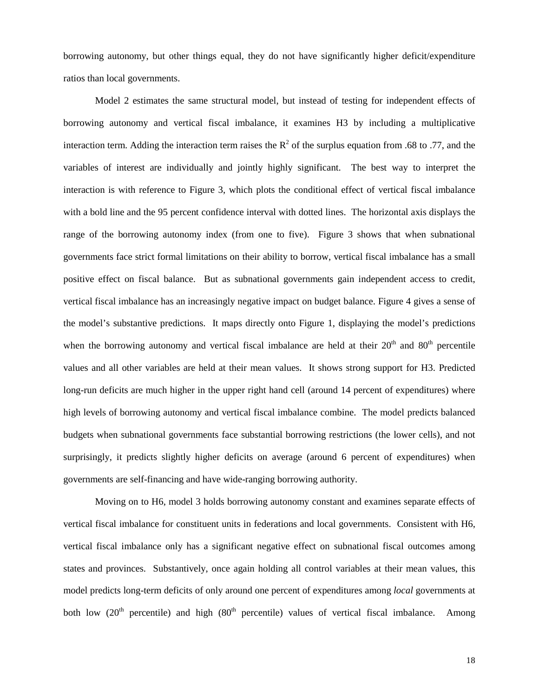borrowing autonomy, but other things equal, they do not have significantly higher deficit/expenditure ratios than local governments.

Model 2 estimates the same structural model, but instead of testing for independent effects of borrowing autonomy and vertical fiscal imbalance, it examines H3 by including a multiplicative interaction term. Adding the interaction term raises the  $R^2$  of the surplus equation from .68 to .77, and the variables of interest are individually and jointly highly significant. The best way to interpret the interaction is with reference to Figure 3, which plots the conditional effect of vertical fiscal imbalance with a bold line and the 95 percent confidence interval with dotted lines. The horizontal axis displays the range of the borrowing autonomy index (from one to five). Figure 3 shows that when subnational governments face strict formal limitations on their ability to borrow, vertical fiscal imbalance has a small positive effect on fiscal balance. But as subnational governments gain independent access to credit, vertical fiscal imbalance has an increasingly negative impact on budget balance. Figure 4 gives a sense of the model's substantive predictions. It maps directly onto Figure 1, displaying the model's predictions when the borrowing autonomy and vertical fiscal imbalance are held at their  $20<sup>th</sup>$  and  $80<sup>th</sup>$  percentile values and all other variables are held at their mean values. It shows strong support for H3. Predicted long-run deficits are much higher in the upper right hand cell (around 14 percent of expenditures) where high levels of borrowing autonomy and vertical fiscal imbalance combine. The model predicts balanced budgets when subnational governments face substantial borrowing restrictions (the lower cells), and not surprisingly, it predicts slightly higher deficits on average (around 6 percent of expenditures) when governments are self-financing and have wide-ranging borrowing authority.

Moving on to H6, model 3 holds borrowing autonomy constant and examines separate effects of vertical fiscal imbalance for constituent units in federations and local governments. Consistent with H6, vertical fiscal imbalance only has a significant negative effect on subnational fiscal outcomes among states and provinces. Substantively, once again holding all control variables at their mean values, this model predicts long-term deficits of only around one percent of expenditures among *local* governments at both low  $(20<sup>th</sup>$  percentile) and high  $(80<sup>th</sup>$  percentile) values of vertical fiscal imbalance. Among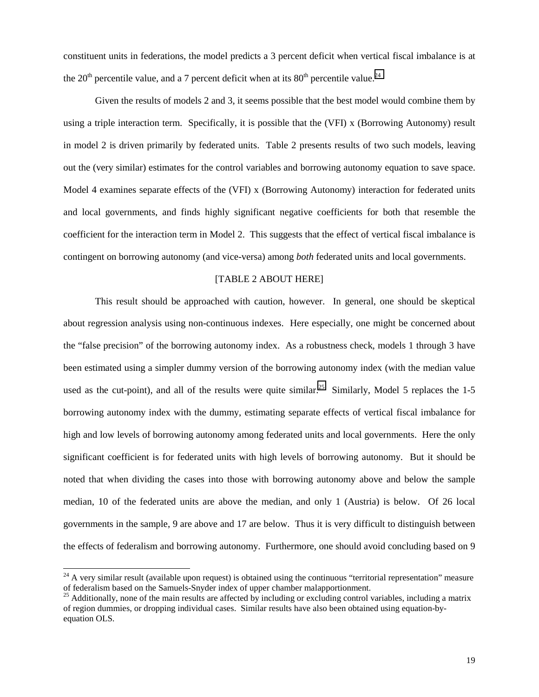constituent units in federations, the model predicts a 3 percent deficit when vertical fiscal imbalance is at the 20<sup>th</sup> percentile value, and a 7 percent deficit when at its  $80<sup>th</sup>$  percentile value.<sup>24</sup>

Given the results of models 2 and 3, it seems possible that the best model would combine them by using a triple interaction term. Specifically, it is possible that the (VFI) x (Borrowing Autonomy) result in model 2 is driven primarily by federated units. Table 2 presents results of two such models, leaving out the (very similar) estimates for the control variables and borrowing autonomy equation to save space. Model 4 examines separate effects of the (VFI) x (Borrowing Autonomy) interaction for federated units and local governments, and finds highly significant negative coefficients for both that resemble the coefficient for the interaction term in Model 2. This suggests that the effect of vertical fiscal imbalance is contingent on borrowing autonomy (and vice-versa) among *both* federated units and local governments.

# [TABLE 2 ABOUT HERE]

This result should be approached with caution, however. In general, one should be skeptical about regression analysis using non-continuous indexes. Here especially, one might be concerned about the "false precision" of the borrowing autonomy index. As a robustness check, models 1 through 3 have been estimated using a simpler dummy version of the borrowing autonomy index (with the median value used as the cut-point), and all of the results were quite similar.<sup>25</sup> Similarly, Model 5 replaces the 1-5 borrowing autonomy index with the dummy, estimating separate effects of vertical fiscal imbalance for high and low levels of borrowing autonomy among federated units and local governments. Here the only significant coefficient is for federated units with high levels of borrowing autonomy. But it should be noted that when dividing the cases into those with borrowing autonomy above and below the sample median, 10 of the federated units are above the median, and only 1 (Austria) is below. Of 26 local governments in the sample, 9 are above and 17 are below. Thus it is very difficult to distinguish between the effects of federalism and borrowing autonomy. Furthermore, one should avoid concluding based on 9

 $\overline{a}$ 

 $^{24}$  A very similar result (available upon request) is obtained using the continuous "territorial representation" measure of federalism based on the Samuels-Snyder index of upper chamber malapportionment.

 $25$  Additionally, none of the main results are affected by including or excluding control variables, including a matrix of region dummies, or dropping individual cases. Similar results have also been obtained using equation-byequation OLS.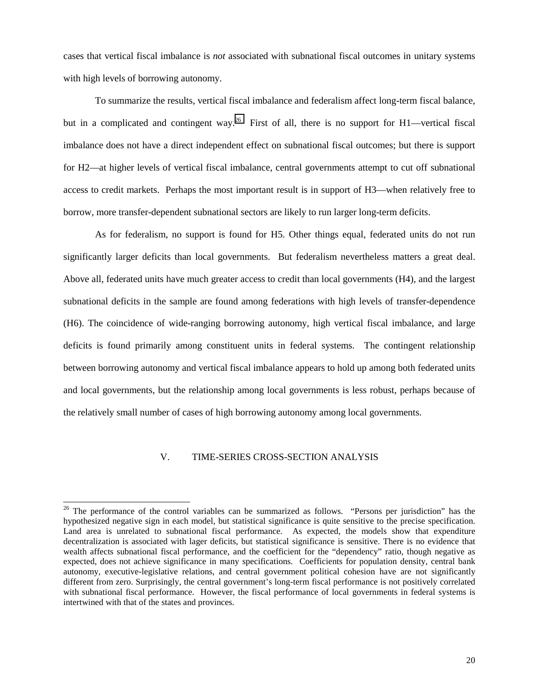cases that vertical fiscal imbalance is *not* associated with subnational fiscal outcomes in unitary systems with high levels of borrowing autonomy.

To summarize the results, vertical fiscal imbalance and federalism affect long-term fiscal balance, but in a complicated and contingent way.<sup>26</sup> First of all, there is no support for H1—vertical fiscal imbalance does not have a direct independent effect on subnational fiscal outcomes; but there is support for H2—at higher levels of vertical fiscal imbalance, central governments attempt to cut off subnational access to credit markets. Perhaps the most important result is in support of H3—when relatively free to borrow, more transfer-dependent subnational sectors are likely to run larger long-term deficits.

As for federalism, no support is found for H5. Other things equal, federated units do not run significantly larger deficits than local governments. But federalism nevertheless matters a great deal. Above all, federated units have much greater access to credit than local governments (H4), and the largest subnational deficits in the sample are found among federations with high levels of transfer-dependence (H6). The coincidence of wide-ranging borrowing autonomy, high vertical fiscal imbalance, and large deficits is found primarily among constituent units in federal systems. The contingent relationship between borrowing autonomy and vertical fiscal imbalance appears to hold up among both federated units and local governments, but the relationship among local governments is less robust, perhaps because of the relatively small number of cases of high borrowing autonomy among local governments.

# V. TIME-SERIES CROSS-SECTION ANALYSIS

l

<sup>&</sup>lt;sup>26</sup> The performance of the control variables can be summarized as follows. "Persons per jurisdiction" has the hypothesized negative sign in each model, but statistical significance is quite sensitive to the precise specification. Land area is unrelated to subnational fiscal performance. As expected, the models show that expenditure decentralization is associated with lager deficits, but statistical significance is sensitive. There is no evidence that wealth affects subnational fiscal performance, and the coefficient for the "dependency" ratio, though negative as expected, does not achieve significance in many specifications. Coefficients for population density, central bank autonomy, executive-legislative relations, and central government political cohesion have are not significantly different from zero. Surprisingly, the central government's long-term fiscal performance is not positively correlated with subnational fiscal performance. However, the fiscal performance of local governments in federal systems is intertwined with that of the states and provinces.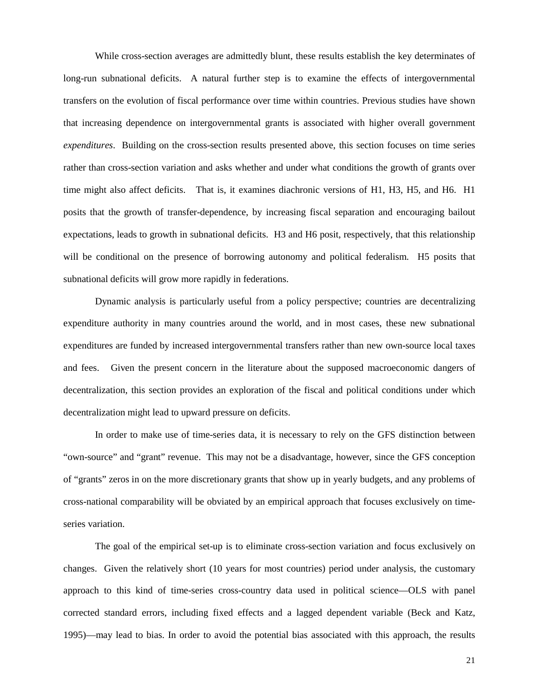While cross-section averages are admittedly blunt, these results establish the key determinates of long-run subnational deficits. A natural further step is to examine the effects of intergovernmental transfers on the evolution of fiscal performance over time within countries. Previous studies have shown that increasing dependence on intergovernmental grants is associated with higher overall government *expenditures*. Building on the cross-section results presented above, this section focuses on time series rather than cross-section variation and asks whether and under what conditions the growth of grants over time might also affect deficits. That is, it examines diachronic versions of H1, H3, H5, and H6. H1 posits that the growth of transfer-dependence, by increasing fiscal separation and encouraging bailout expectations, leads to growth in subnational deficits. H3 and H6 posit, respectively, that this relationship will be conditional on the presence of borrowing autonomy and political federalism. H5 posits that subnational deficits will grow more rapidly in federations.

Dynamic analysis is particularly useful from a policy perspective; countries are decentralizing expenditure authority in many countries around the world, and in most cases, these new subnational expenditures are funded by increased intergovernmental transfers rather than new own-source local taxes and fees. Given the present concern in the literature about the supposed macroeconomic dangers of decentralization, this section provides an exploration of the fiscal and political conditions under which decentralization might lead to upward pressure on deficits.

In order to make use of time-series data, it is necessary to rely on the GFS distinction between "own-source" and "grant" revenue. This may not be a disadvantage, however, since the GFS conception of "grants" zeros in on the more discretionary grants that show up in yearly budgets, and any problems of cross-national comparability will be obviated by an empirical approach that focuses exclusively on timeseries variation.

The goal of the empirical set-up is to eliminate cross-section variation and focus exclusively on changes. Given the relatively short (10 years for most countries) period under analysis, the customary approach to this kind of time-series cross-country data used in political science—OLS with panel corrected standard errors, including fixed effects and a lagged dependent variable (Beck and Katz, 1995)—may lead to bias. In order to avoid the potential bias associated with this approach, the results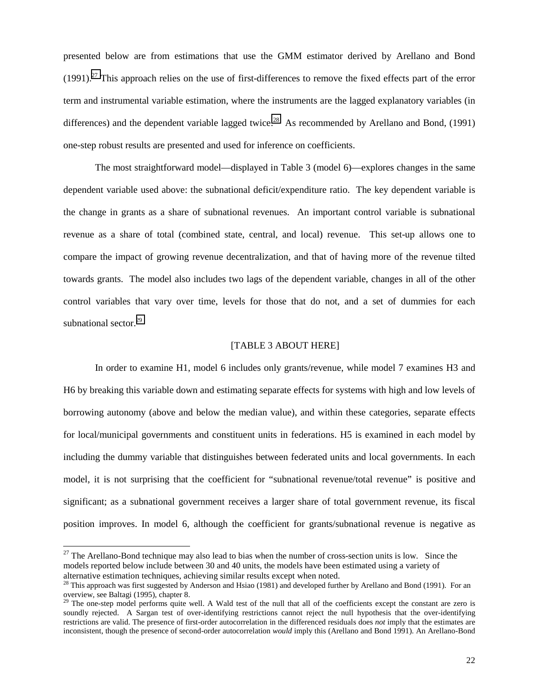presented below are from estimations that use the GMM estimator derived by Arellano and Bond  $(1991)$ .<sup>27</sup> This approach relies on the use of first-differences to remove the fixed effects part of the error term and instrumental variable estimation, where the instruments are the lagged explanatory variables (in differences) and the dependent variable lagged twice.<sup>28</sup> As recommended by Arellano and Bond, (1991) one-step robust results are presented and used for inference on coefficients.

The most straightforward model—displayed in Table 3 (model 6)—explores changes in the same dependent variable used above: the subnational deficit/expenditure ratio. The key dependent variable is the change in grants as a share of subnational revenues. An important control variable is subnational revenue as a share of total (combined state, central, and local) revenue. This set-up allows one to compare the impact of growing revenue decentralization, and that of having more of the revenue tilted towards grants. The model also includes two lags of the dependent variable, changes in all of the other control variables that vary over time, levels for those that do not, and a set of dummies for each subnational sector.<sup>29</sup>

#### [TABLE 3 ABOUT HERE]

In order to examine H1, model 6 includes only grants/revenue, while model 7 examines H3 and H6 by breaking this variable down and estimating separate effects for systems with high and low levels of borrowing autonomy (above and below the median value), and within these categories, separate effects for local/municipal governments and constituent units in federations. H5 is examined in each model by including the dummy variable that distinguishes between federated units and local governments. In each model, it is not surprising that the coefficient for "subnational revenue/total revenue" is positive and significant; as a subnational government receives a larger share of total government revenue, its fiscal position improves. In model 6, although the coefficient for grants/subnational revenue is negative as

l

 $27$  The Arellano-Bond technique may also lead to bias when the number of cross-section units is low. Since the models reported below include between 30 and 40 units, the models have been estimated using a variety of alternative estimation techniques, achieving similar results except when noted.

<sup>&</sup>lt;sup>28</sup> This approach was first suggested by Anderson and Hsiao (1981) and developed further by Arellano and Bond (1991). For an overview, see Baltagi (1995), chapter 8.

 $2<sup>9</sup>$  The one-step model performs quite well. A Wald test of the null that all of the coefficients except the constant are zero is soundly rejected. A Sargan test of over-identifying restrictions cannot reject the null hypothesis that the over-identifying restrictions are valid. The presence of first-order autocorrelation in the differenced residuals does *not* imply that the estimates are inconsistent, though the presence of second-order autocorrelation *would* imply this (Arellano and Bond 1991). An Arellano-Bond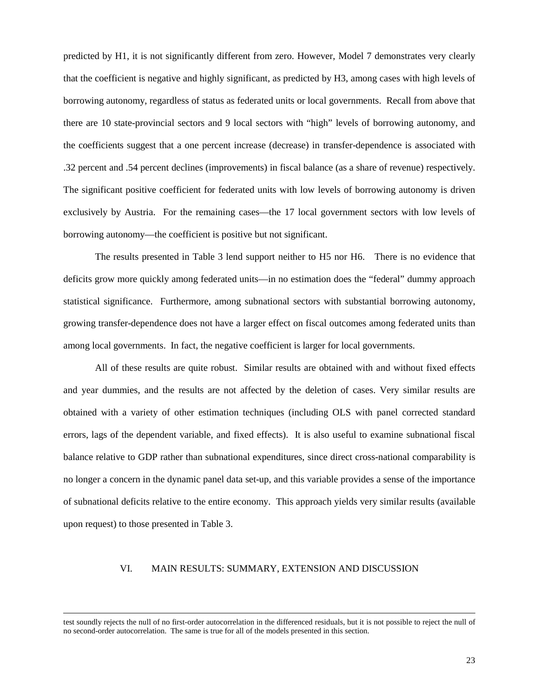predicted by H1, it is not significantly different from zero. However, Model 7 demonstrates very clearly that the coefficient is negative and highly significant, as predicted by H3, among cases with high levels of borrowing autonomy, regardless of status as federated units or local governments. Recall from above that there are 10 state-provincial sectors and 9 local sectors with "high" levels of borrowing autonomy, and the coefficients suggest that a one percent increase (decrease) in transfer-dependence is associated with .32 percent and .54 percent declines (improvements) in fiscal balance (as a share of revenue) respectively. The significant positive coefficient for federated units with low levels of borrowing autonomy is driven exclusively by Austria. For the remaining cases—the 17 local government sectors with low levels of borrowing autonomy—the coefficient is positive but not significant.

The results presented in Table 3 lend support neither to H5 nor H6. There is no evidence that deficits grow more quickly among federated units—in no estimation does the "federal" dummy approach statistical significance. Furthermore, among subnational sectors with substantial borrowing autonomy, growing transfer-dependence does not have a larger effect on fiscal outcomes among federated units than among local governments. In fact, the negative coefficient is larger for local governments.

All of these results are quite robust. Similar results are obtained with and without fixed effects and year dummies, and the results are not affected by the deletion of cases. Very similar results are obtained with a variety of other estimation techniques (including OLS with panel corrected standard errors, lags of the dependent variable, and fixed effects). It is also useful to examine subnational fiscal balance relative to GDP rather than subnational expenditures, since direct cross-national comparability is no longer a concern in the dynamic panel data set-up, and this variable provides a sense of the importance of subnational deficits relative to the entire economy. This approach yields very similar results (available upon request) to those presented in Table 3.

# VI. MAIN RESULTS: SUMMARY, EXTENSION AND DISCUSSION

test soundly rejects the null of no first-order autocorrelation in the differenced residuals, but it is not possible to reject the null of no second-order autocorrelation. The same is true for all of the models presented in this section.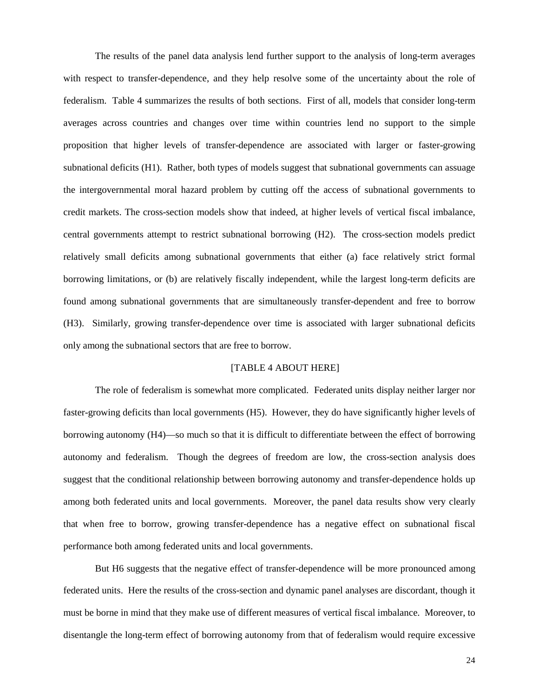The results of the panel data analysis lend further support to the analysis of long-term averages with respect to transfer-dependence, and they help resolve some of the uncertainty about the role of federalism. Table 4 summarizes the results of both sections. First of all, models that consider long-term averages across countries and changes over time within countries lend no support to the simple proposition that higher levels of transfer-dependence are associated with larger or faster-growing subnational deficits (H1). Rather, both types of models suggest that subnational governments can assuage the intergovernmental moral hazard problem by cutting off the access of subnational governments to credit markets. The cross-section models show that indeed, at higher levels of vertical fiscal imbalance, central governments attempt to restrict subnational borrowing (H2). The cross-section models predict relatively small deficits among subnational governments that either (a) face relatively strict formal borrowing limitations, or (b) are relatively fiscally independent, while the largest long-term deficits are found among subnational governments that are simultaneously transfer-dependent and free to borrow (H3). Similarly, growing transfer-dependence over time is associated with larger subnational deficits only among the subnational sectors that are free to borrow.

## [TABLE 4 ABOUT HERE]

The role of federalism is somewhat more complicated. Federated units display neither larger nor faster-growing deficits than local governments (H5). However, they do have significantly higher levels of borrowing autonomy (H4)—so much so that it is difficult to differentiate between the effect of borrowing autonomy and federalism. Though the degrees of freedom are low, the cross-section analysis does suggest that the conditional relationship between borrowing autonomy and transfer-dependence holds up among both federated units and local governments. Moreover, the panel data results show very clearly that when free to borrow, growing transfer-dependence has a negative effect on subnational fiscal performance both among federated units and local governments.

But H6 suggests that the negative effect of transfer-dependence will be more pronounced among federated units. Here the results of the cross-section and dynamic panel analyses are discordant, though it must be borne in mind that they make use of different measures of vertical fiscal imbalance. Moreover, to disentangle the long-term effect of borrowing autonomy from that of federalism would require excessive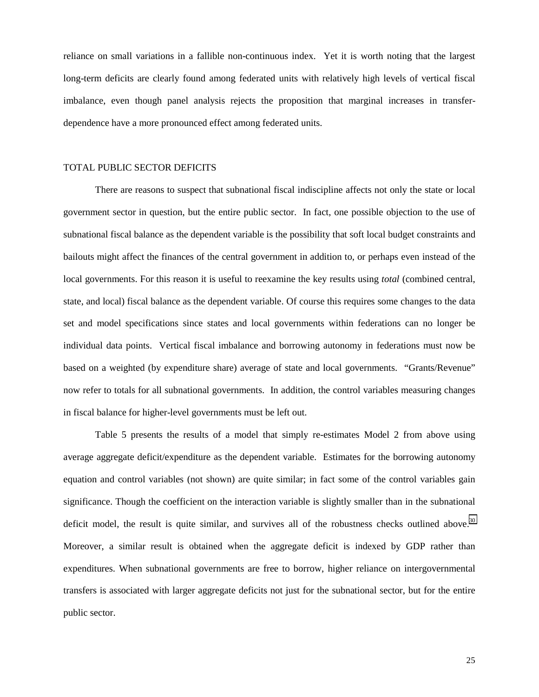reliance on small variations in a fallible non-continuous index. Yet it is worth noting that the largest long-term deficits are clearly found among federated units with relatively high levels of vertical fiscal imbalance, even though panel analysis rejects the proposition that marginal increases in transferdependence have a more pronounced effect among federated units.

### TOTAL PUBLIC SECTOR DEFICITS

There are reasons to suspect that subnational fiscal indiscipline affects not only the state or local government sector in question, but the entire public sector. In fact, one possible objection to the use of subnational fiscal balance as the dependent variable is the possibility that soft local budget constraints and bailouts might affect the finances of the central government in addition to, or perhaps even instead of the local governments. For this reason it is useful to reexamine the key results using *total* (combined central, state, and local) fiscal balance as the dependent variable. Of course this requires some changes to the data set and model specifications since states and local governments within federations can no longer be individual data points. Vertical fiscal imbalance and borrowing autonomy in federations must now be based on a weighted (by expenditure share) average of state and local governments. "Grants/Revenue" now refer to totals for all subnational governments. In addition, the control variables measuring changes in fiscal balance for higher-level governments must be left out.

Table 5 presents the results of a model that simply re-estimates Model 2 from above using average aggregate deficit/expenditure as the dependent variable. Estimates for the borrowing autonomy equation and control variables (not shown) are quite similar; in fact some of the control variables gain significance. Though the coefficient on the interaction variable is slightly smaller than in the subnational deficit model, the result is quite similar, and survives all of the robustness checks outlined above.<sup>30</sup> Moreover, a similar result is obtained when the aggregate deficit is indexed by GDP rather than expenditures. When subnational governments are free to borrow, higher reliance on intergovernmental transfers is associated with larger aggregate deficits not just for the subnational sector, but for the entire public sector.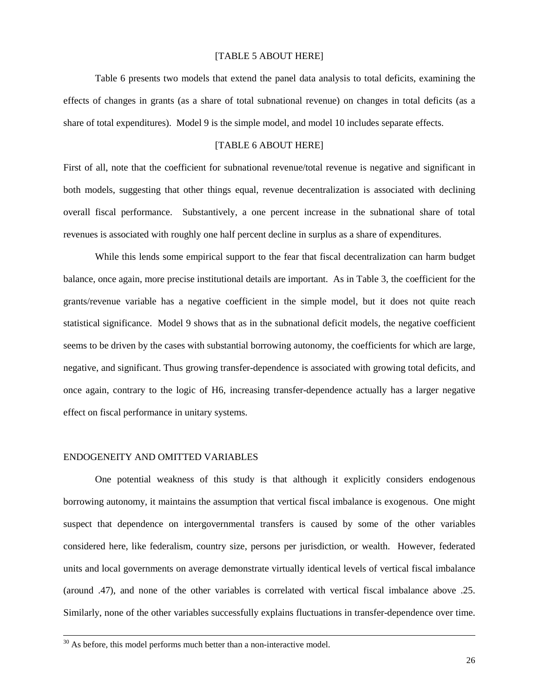### [TABLE 5 ABOUT HERE]

Table 6 presents two models that extend the panel data analysis to total deficits, examining the effects of changes in grants (as a share of total subnational revenue) on changes in total deficits (as a share of total expenditures). Model 9 is the simple model, and model 10 includes separate effects.

# [TABLE 6 ABOUT HERE]

First of all, note that the coefficient for subnational revenue/total revenue is negative and significant in both models, suggesting that other things equal, revenue decentralization is associated with declining overall fiscal performance. Substantively, a one percent increase in the subnational share of total revenues is associated with roughly one half percent decline in surplus as a share of expenditures.

While this lends some empirical support to the fear that fiscal decentralization can harm budget balance, once again, more precise institutional details are important. As in Table 3, the coefficient for the grants/revenue variable has a negative coefficient in the simple model, but it does not quite reach statistical significance. Model 9 shows that as in the subnational deficit models, the negative coefficient seems to be driven by the cases with substantial borrowing autonomy, the coefficients for which are large, negative, and significant. Thus growing transfer-dependence is associated with growing total deficits, and once again, contrary to the logic of H6, increasing transfer-dependence actually has a larger negative effect on fiscal performance in unitary systems.

## ENDOGENEITY AND OMITTED VARIABLES

One potential weakness of this study is that although it explicitly considers endogenous borrowing autonomy, it maintains the assumption that vertical fiscal imbalance is exogenous. One might suspect that dependence on intergovernmental transfers is caused by some of the other variables considered here, like federalism, country size, persons per jurisdiction, or wealth. However, federated units and local governments on average demonstrate virtually identical levels of vertical fiscal imbalance (around .47), and none of the other variables is correlated with vertical fiscal imbalance above .25. Similarly, none of the other variables successfully explains fluctuations in transfer-dependence over time.

 $30$  As before, this model performs much better than a non-interactive model.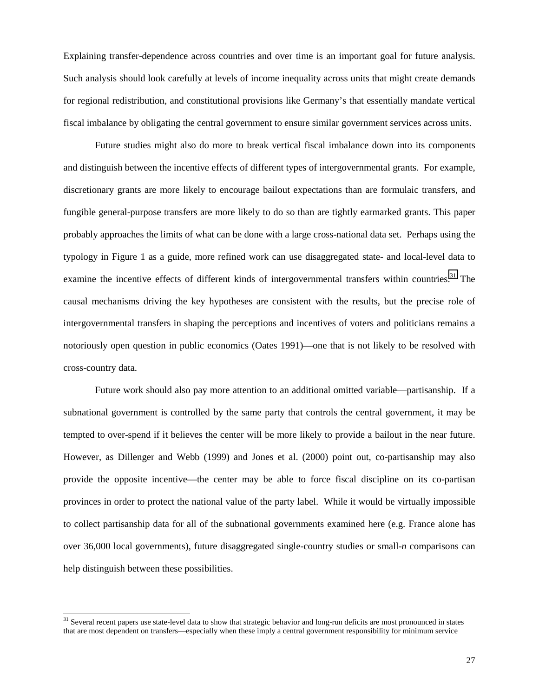Explaining transfer-dependence across countries and over time is an important goal for future analysis. Such analysis should look carefully at levels of income inequality across units that might create demands for regional redistribution, and constitutional provisions like Germany's that essentially mandate vertical fiscal imbalance by obligating the central government to ensure similar government services across units.

Future studies might also do more to break vertical fiscal imbalance down into its components and distinguish between the incentive effects of different types of intergovernmental grants. For example, discretionary grants are more likely to encourage bailout expectations than are formulaic transfers, and fungible general-purpose transfers are more likely to do so than are tightly earmarked grants. This paper probably approaches the limits of what can be done with a large cross-national data set. Perhaps using the typology in Figure 1 as a guide, more refined work can use disaggregated state- and local-level data to examine the incentive effects of different kinds of intergovernmental transfers within countries.<sup>31</sup> The causal mechanisms driving the key hypotheses are consistent with the results, but the precise role of intergovernmental transfers in shaping the perceptions and incentives of voters and politicians remains a notoriously open question in public economics (Oates 1991)—one that is not likely to be resolved with cross-country data.

Future work should also pay more attention to an additional omitted variable—partisanship. If a subnational government is controlled by the same party that controls the central government, it may be tempted to over-spend if it believes the center will be more likely to provide a bailout in the near future. However, as Dillenger and Webb (1999) and Jones et al. (2000) point out, co-partisanship may also provide the opposite incentive—the center may be able to force fiscal discipline on its co-partisan provinces in order to protect the national value of the party label. While it would be virtually impossible to collect partisanship data for all of the subnational governments examined here (e.g. France alone has over 36,000 local governments), future disaggregated single-country studies or small-*n* comparisons can help distinguish between these possibilities.

<sup>&</sup>lt;sup>31</sup> Several recent papers use state-level data to show that strategic behavior and long-run deficits are most pronounced in states that are most dependent on transfers—especially when these imply a central government responsibility for minimum service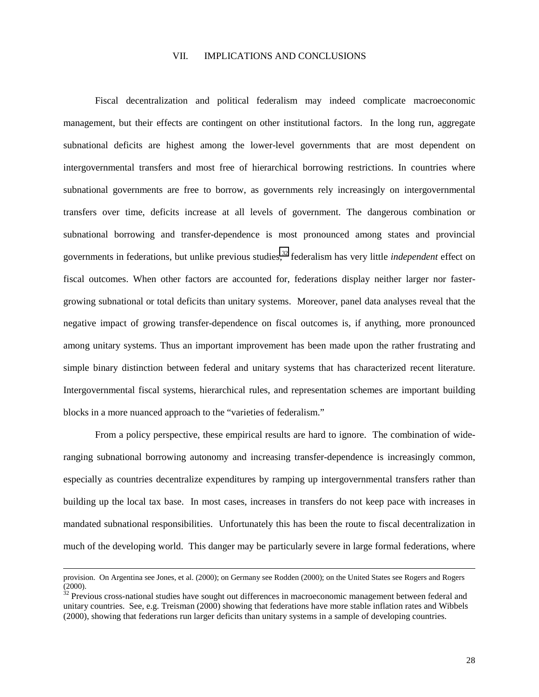### VII. IMPLICATIONS AND CONCLUSIONS

Fiscal decentralization and political federalism may indeed complicate macroeconomic management, but their effects are contingent on other institutional factors. In the long run, aggregate subnational deficits are highest among the lower-level governments that are most dependent on intergovernmental transfers and most free of hierarchical borrowing restrictions. In countries where subnational governments are free to borrow, as governments rely increasingly on intergovernmental transfers over time, deficits increase at all levels of government. The dangerous combination or subnational borrowing and transfer-dependence is most pronounced among states and provincial governments in federations, but unlike previous studies,32 federalism has very little *independent* effect on fiscal outcomes. When other factors are accounted for, federations display neither larger nor fastergrowing subnational or total deficits than unitary systems. Moreover, panel data analyses reveal that the negative impact of growing transfer-dependence on fiscal outcomes is, if anything, more pronounced among unitary systems. Thus an important improvement has been made upon the rather frustrating and simple binary distinction between federal and unitary systems that has characterized recent literature. Intergovernmental fiscal systems, hierarchical rules, and representation schemes are important building blocks in a more nuanced approach to the "varieties of federalism."

From a policy perspective, these empirical results are hard to ignore. The combination of wideranging subnational borrowing autonomy and increasing transfer-dependence is increasingly common, especially as countries decentralize expenditures by ramping up intergovernmental transfers rather than building up the local tax base. In most cases, increases in transfers do not keep pace with increases in mandated subnational responsibilities. Unfortunately this has been the route to fiscal decentralization in much of the developing world. This danger may be particularly severe in large formal federations, where

provision. On Argentina see Jones, et al. (2000); on Germany see Rodden (2000); on the United States see Rogers and Rogers  $(2000)$ .

<sup>32</sup> Previous cross-national studies have sought out differences in macroeconomic management between federal and unitary countries. See, e.g. Treisman (2000) showing that federations have more stable inflation rates and Wibbels (2000), showing that federations run larger deficits than unitary systems in a sample of developing countries.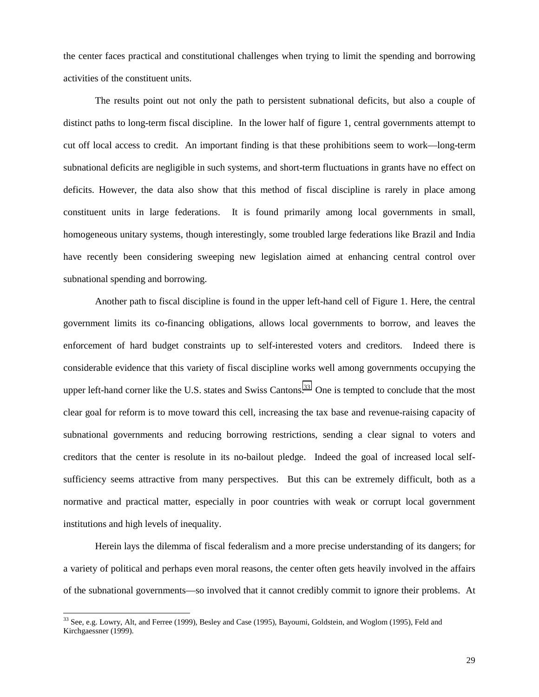the center faces practical and constitutional challenges when trying to limit the spending and borrowing activities of the constituent units.

The results point out not only the path to persistent subnational deficits, but also a couple of distinct paths to long-term fiscal discipline. In the lower half of figure 1, central governments attempt to cut off local access to credit. An important finding is that these prohibitions seem to work—long-term subnational deficits are negligible in such systems, and short-term fluctuations in grants have no effect on deficits. However, the data also show that this method of fiscal discipline is rarely in place among constituent units in large federations. It is found primarily among local governments in small, homogeneous unitary systems, though interestingly, some troubled large federations like Brazil and India have recently been considering sweeping new legislation aimed at enhancing central control over subnational spending and borrowing.

Another path to fiscal discipline is found in the upper left-hand cell of Figure 1. Here, the central government limits its co-financing obligations, allows local governments to borrow, and leaves the enforcement of hard budget constraints up to self-interested voters and creditors. Indeed there is considerable evidence that this variety of fiscal discipline works well among governments occupying the upper left-hand corner like the U.S. states and Swiss Cantons.<sup>33</sup> One is tempted to conclude that the most clear goal for reform is to move toward this cell, increasing the tax base and revenue-raising capacity of subnational governments and reducing borrowing restrictions, sending a clear signal to voters and creditors that the center is resolute in its no-bailout pledge. Indeed the goal of increased local selfsufficiency seems attractive from many perspectives. But this can be extremely difficult, both as a normative and practical matter, especially in poor countries with weak or corrupt local government institutions and high levels of inequality.

Herein lays the dilemma of fiscal federalism and a more precise understanding of its dangers; for a variety of political and perhaps even moral reasons, the center often gets heavily involved in the affairs of the subnational governments—so involved that it cannot credibly commit to ignore their problems. At

 $33$  See, e.g. Lowry, Alt, and Ferree (1999), Besley and Case (1995), Bayoumi, Goldstein, and Woglom (1995), Feld and Kirchgaessner (1999).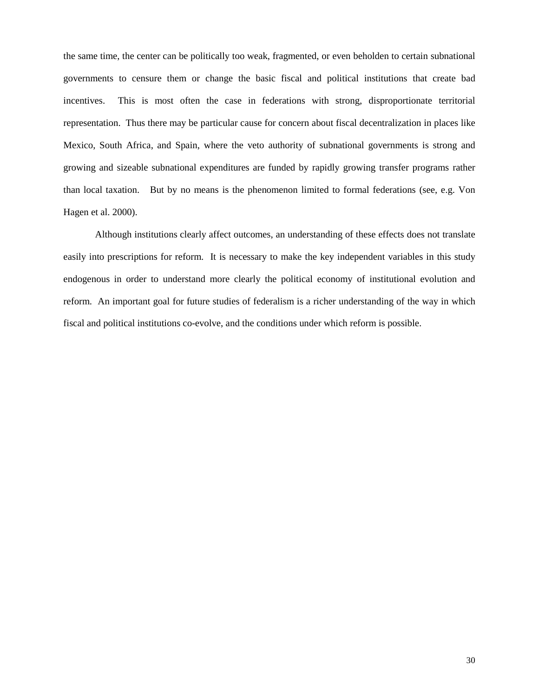the same time, the center can be politically too weak, fragmented, or even beholden to certain subnational governments to censure them or change the basic fiscal and political institutions that create bad incentives. This is most often the case in federations with strong, disproportionate territorial representation. Thus there may be particular cause for concern about fiscal decentralization in places like Mexico, South Africa, and Spain, where the veto authority of subnational governments is strong and growing and sizeable subnational expenditures are funded by rapidly growing transfer programs rather than local taxation. But by no means is the phenomenon limited to formal federations (see, e.g. Von Hagen et al. 2000).

Although institutions clearly affect outcomes, an understanding of these effects does not translate easily into prescriptions for reform. It is necessary to make the key independent variables in this study endogenous in order to understand more clearly the political economy of institutional evolution and reform. An important goal for future studies of federalism is a richer understanding of the way in which fiscal and political institutions co-evolve, and the conditions under which reform is possible.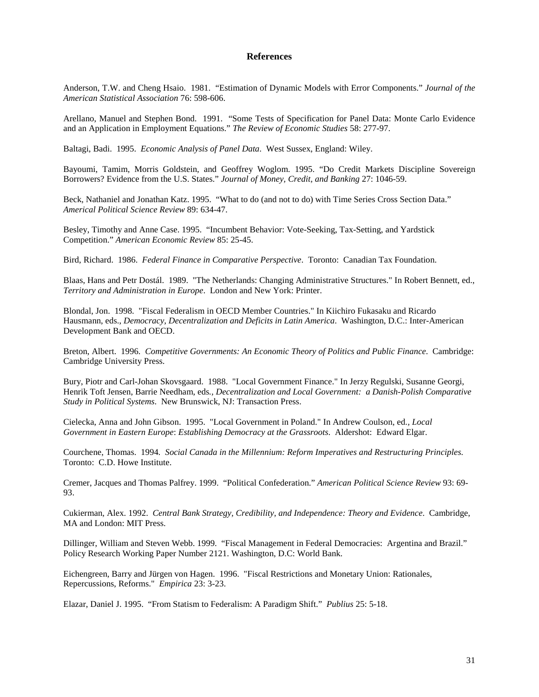### **References**

Anderson, T.W. and Cheng Hsaio. 1981. "Estimation of Dynamic Models with Error Components." *Journal of the American Statistical Association* 76: 598-606.

Arellano, Manuel and Stephen Bond. 1991. "Some Tests of Specification for Panel Data: Monte Carlo Evidence and an Application in Employment Equations." *The Review of Economic Studies* 58: 277-97.

Baltagi, Badi. 1995. *Economic Analysis of Panel Data*. West Sussex, England: Wiley.

Bayoumi, Tamim, Morris Goldstein, and Geoffrey Woglom. 1995. "Do Credit Markets Discipline Sovereign Borrowers? Evidence from the U.S. States." *Journal of Money, Credit, and Banking* 27: 1046-59.

Beck, Nathaniel and Jonathan Katz. 1995. "What to do (and not to do) with Time Series Cross Section Data." *Americal Political Science Review* 89: 634-47.

Besley, Timothy and Anne Case. 1995. "Incumbent Behavior: Vote-Seeking, Tax-Setting, and Yardstick Competition." *American Economic Review* 85: 25-45.

Bird, Richard. 1986. *Federal Finance in Comparative Perspective*. Toronto: Canadian Tax Foundation.

Blaas, Hans and Petr Dostál. 1989. "The Netherlands: Changing Administrative Structures." In Robert Bennett, ed., *Territory and Administration in Europe*. London and New York: Printer.

Blondal, Jon. 1998. "Fiscal Federalism in OECD Member Countries." In Kiichiro Fukasaku and Ricardo Hausmann, eds., *Democracy, Decentralization and Deficits in Latin America*. Washington, D.C.: Inter-American Development Bank and OECD.

Breton, Albert. 1996. *Competitive Governments: An Economic Theory of Politics and Public Finance*. Cambridge: Cambridge University Press.

Bury, Piotr and Carl-Johan Skovsgaard. 1988. "Local Government Finance." In Jerzy Regulski, Susanne Georgi, Henrik Toft Jensen, Barrie Needham, eds*., Decentralization and Local Government: a Danish-Polish Comparative Study in Political Systems*. New Brunswick, NJ: Transaction Press.

Cielecka, Anna and John Gibson. 1995. "Local Government in Poland." In Andrew Coulson, ed*., Local Government in Eastern Europe*: *Establishing Democracy at the Grassroots*. Aldershot: Edward Elgar.

Courchene, Thomas. 1994*. Social Canada in the Millennium: Reform Imperatives and Restructuring Principles*. Toronto: C.D. Howe Institute.

Cremer, Jacques and Thomas Palfrey. 1999. "Political Confederation." *American Political Science Review* 93: 69- 93.

Cukierman, Alex. 1992. *Central Bank Strategy, Credibility, and Independence: Theory and Evidence*. Cambridge, MA and London: MIT Press.

Dillinger, William and Steven Webb. 1999. "Fiscal Management in Federal Democracies: Argentina and Brazil." Policy Research Working Paper Number 2121. Washington, D.C: World Bank.

Eichengreen, Barry and Jürgen von Hagen. 1996. "Fiscal Restrictions and Monetary Union: Rationales, Repercussions, Reforms." *Empirica* 23: 3-23.

Elazar, Daniel J. 1995. "From Statism to Federalism: A Paradigm Shift." *Publius* 25: 5-18.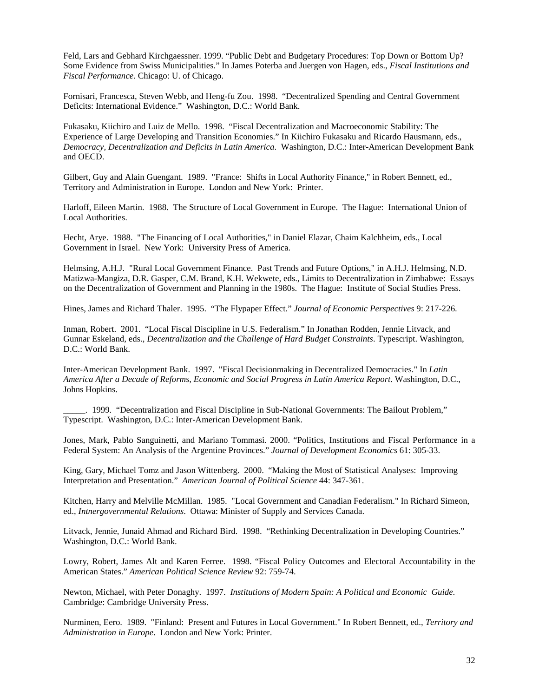Feld, Lars and Gebhard Kirchgaessner. 1999. "Public Debt and Budgetary Procedures: Top Down or Bottom Up? Some Evidence from Swiss Municipalities." In James Poterba and Juergen von Hagen, eds., *Fiscal Institutions and Fiscal Performance*. Chicago: U. of Chicago.

Fornisari, Francesca, Steven Webb, and Heng-fu Zou. 1998. "Decentralized Spending and Central Government Deficits: International Evidence." Washington, D.C.: World Bank.

Fukasaku, Kiichiro and Luiz de Mello. 1998. "Fiscal Decentralization and Macroeconomic Stability: The Experience of Large Developing and Transition Economies." In Kiichiro Fukasaku and Ricardo Hausmann, eds., *Democracy, Decentralization and Deficits in Latin America*. Washington, D.C.: Inter-American Development Bank and OECD.

Gilbert, Guy and Alain Guengant. 1989. "France: Shifts in Local Authority Finance," in Robert Bennett, ed., Territory and Administration in Europe. London and New York: Printer.

Harloff, Eileen Martin. 1988. The Structure of Local Government in Europe. The Hague: International Union of Local Authorities.

Hecht, Arye. 1988. "The Financing of Local Authorities," in Daniel Elazar, Chaim Kalchheim, eds., Local Government in Israel. New York: University Press of America.

Helmsing, A.H.J. "Rural Local Government Finance. Past Trends and Future Options," in A.H.J. Helmsing, N.D. Matizwa-Mangiza, D.R. Gasper, C.M. Brand, K.H. Wekwete, eds., Limits to Decentralization in Zimbabwe: Essays on the Decentralization of Government and Planning in the 1980s. The Hague: Institute of Social Studies Press.

Hines, James and Richard Thaler. 1995. "The Flypaper Effect." *Journal of Economic Perspectives* 9: 217-226.

Inman, Robert. 2001. "Local Fiscal Discipline in U.S. Federalism." In Jonathan Rodden, Jennie Litvack, and Gunnar Eskeland, eds., *Decentralization and the Challenge of Hard Budget Constraints*. Typescript. Washington, D.C.: World Bank.

Inter-American Development Bank. 1997. "Fiscal Decisionmaking in Decentralized Democracies." In *Latin America After a Decade of Reforms, Economic and Social Progress in Latin America Report*. Washington, D.C., Johns Hopkins.

\_\_\_\_\_. 1999. "Decentralization and Fiscal Discipline in Sub-National Governments: The Bailout Problem," Typescript. Washington, D.C.: Inter-American Development Bank.

Jones, Mark, Pablo Sanguinetti, and Mariano Tommasi. 2000. "Politics, Institutions and Fiscal Performance in a Federal System: An Analysis of the Argentine Provinces." *Journal of Development Economics* 61: 305-33.

King, Gary, Michael Tomz and Jason Wittenberg. 2000. "Making the Most of Statistical Analyses: Improving Interpretation and Presentation." *American Journal of Political Science* 44: 347-361.

Kitchen, Harry and Melville McMillan. 1985. "Local Government and Canadian Federalism." In Richard Simeon, ed., *Intnergovernmental Relations*. Ottawa: Minister of Supply and Services Canada.

Litvack, Jennie, Junaid Ahmad and Richard Bird. 1998. "Rethinking Decentralization in Developing Countries." Washington, D.C.: World Bank.

Lowry, Robert, James Alt and Karen Ferree. 1998. "Fiscal Policy Outcomes and Electoral Accountability in the American States." *American Political Science Review* 92: 759-74.

Newton, Michael, with Peter Donaghy. 1997. *Institutions of Modern Spain: A Political and Economic Guide*. Cambridge: Cambridge University Press.

Nurminen, Eero. 1989. "Finland: Present and Futures in Local Government." In Robert Bennett, ed., *Territory and Administration in Europe*. London and New York: Printer.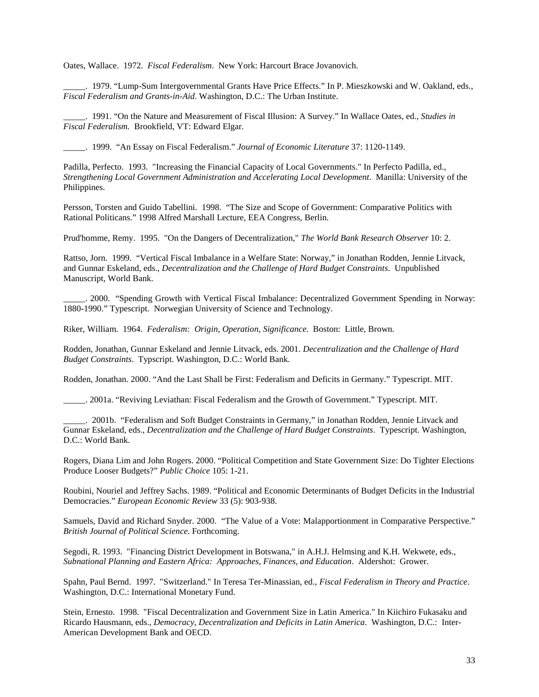Oates, Wallace. 1972. *Fiscal Federalism*. New York: Harcourt Brace Jovanovich.

\_\_\_\_\_. 1979. "Lump-Sum Intergovernmental Grants Have Price Effects." In P. Mieszkowski and W. Oakland, eds., *Fiscal Federalism and Grants-in-Aid*. Washington, D.C.: The Urban Institute.

\_\_\_\_\_. 1991. "On the Nature and Measurement of Fiscal Illusion: A Survey." In Wallace Oates, ed., *Studies in Fiscal Federalism.* Brookfield, VT: Edward Elgar.

\_\_\_\_\_. 1999. "An Essay on Fiscal Federalism." *Journal of Economic Literature* 37: 1120-1149.

Padilla, Perfecto. 1993. "Increasing the Financial Capacity of Local Governments." In Perfecto Padilla, ed., *Strengthening Local Government Administration and Accelerating Local Development*. Manilla: University of the Philippines.

Persson, Torsten and Guido Tabellini. 1998. "The Size and Scope of Government: Comparative Politics with Rational Politicans." 1998 Alfred Marshall Lecture, EEA Congress, Berlin.

Prud'homme, Remy. 1995. "On the Dangers of Decentralization," *The World Bank Research Observer* 10: 2.

Rattso, Jorn. 1999. "Vertical Fiscal Imbalance in a Welfare State: Norway," in Jonathan Rodden, Jennie Litvack, and Gunnar Eskeland, eds., *Decentralization and the Challenge of Hard Budget Constraints*. Unpublished Manuscript, World Bank.

\_\_\_\_\_. 2000. "Spending Growth with Vertical Fiscal Imbalance: Decentralized Government Spending in Norway: 1880-1990." Typescript. Norwegian University of Science and Technology.

Riker, William. 1964. *Federalism: Origin, Operation, Significance*. Boston: Little, Brown.

Rodden, Jonathan, Gunnar Eskeland and Jennie Litvack, eds. 2001. *Decentralization and the Challenge of Hard Budget Constraints*. Typscript. Washington, D.C.: World Bank.

Rodden, Jonathan. 2000. "And the Last Shall be First: Federalism and Deficits in Germany." Typescript. MIT.

\_\_\_\_\_. 2001a. "Reviving Leviathan: Fiscal Federalism and the Growth of Government." Typescript. MIT.

\_\_\_\_\_. 2001b. "Federalism and Soft Budget Constraints in Germany," in Jonathan Rodden, Jennie Litvack and Gunnar Eskeland, eds., *Decentralization and the Challenge of Hard Budget Constraints*. Typescript. Washington, D.C.: World Bank.

Rogers, Diana Lim and John Rogers. 2000. "Political Competition and State Government Size: Do Tighter Elections Produce Looser Budgets?" *Public Choice* 105: 1-21.

Roubini, Nouriel and Jeffrey Sachs. 1989. "Political and Economic Determinants of Budget Deficits in the Industrial Democracies." *European Economic Review* 33 (5): 903-938.

Samuels, David and Richard Snyder. 2000. "The Value of a Vote: Malapportionment in Comparative Perspective." *British Journal of Political Science*. Forthcoming.

Segodi, R. 1993. "Financing District Development in Botswana," in A.H.J. Helmsing and K.H. Wekwete, eds., *Subnational Planning and Eastern Africa: Approaches, Finances, and Education*. Aldershot: Grower.

Spahn, Paul Bernd. 1997. "Switzerland." In Teresa Ter-Minassian, ed., *Fiscal Federalism in Theory and Practice*. Washington, D.C.: International Monetary Fund.

Stein, Ernesto. 1998. "Fiscal Decentralization and Government Size in Latin America." In Kiichiro Fukasaku and Ricardo Hausmann, eds., *Democracy, Decentralization and Deficits in Latin America*. Washington, D.C.: Inter-American Development Bank and OECD.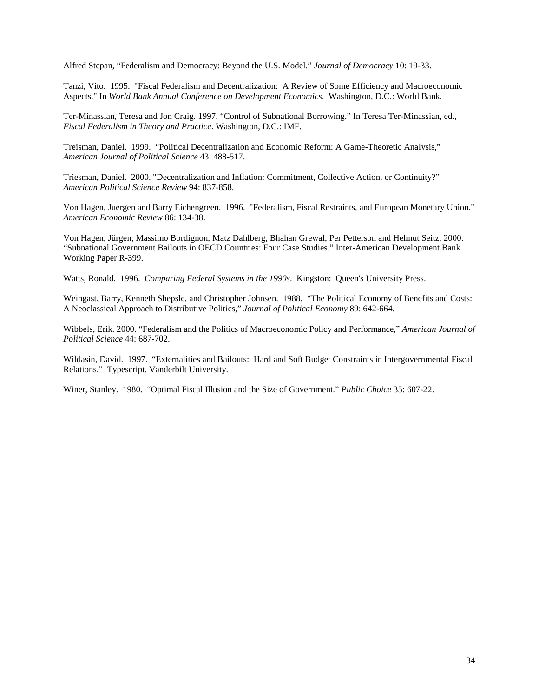Alfred Stepan, "Federalism and Democracy: Beyond the U.S. Model." *Journal of Democracy* 10: 19-33.

Tanzi, Vito. 1995. "Fiscal Federalism and Decentralization: A Review of Some Efficiency and Macroeconomic Aspects." In *World Bank Annual Conference on Development Economics*. Washington, D.C.: World Bank.

Ter-Minassian, Teresa and Jon Craig. 1997. "Control of Subnational Borrowing." In Teresa Ter-Minassian, ed., *Fiscal Federalism in Theory and Practice*. Washington, D.C.: IMF.

Treisman, Daniel. 1999. "Political Decentralization and Economic Reform: A Game-Theoretic Analysis," *American Journal of Political Science* 43: 488-517.

Triesman, Daniel. 2000. "Decentralization and Inflation: Commitment, Collective Action, or Continuity?" *American Political Science Review* 94: 837-858.

Von Hagen, Juergen and Barry Eichengreen. 1996. "Federalism, Fiscal Restraints, and European Monetary Union." *American Economic Review* 86: 134-38.

Von Hagen, Jürgen, Massimo Bordignon, Matz Dahlberg, Bhahan Grewal, Per Petterson and Helmut Seitz. 2000. "Subnational Government Bailouts in OECD Countries: Four Case Studies." Inter-American Development Bank Working Paper R-399.

Watts, Ronald. 1996. *Comparing Federal Systems in the 1990s*. Kingston: Queen's University Press.

Weingast, Barry, Kenneth Shepsle, and Christopher Johnsen. 1988. "The Political Economy of Benefits and Costs: A Neoclassical Approach to Distributive Politics," *Journal of Political Economy* 89: 642-664.

Wibbels, Erik. 2000. "Federalism and the Politics of Macroeconomic Policy and Performance," *American Journal of Political Science* 44: 687-702.

Wildasin, David. 1997. "Externalities and Bailouts: Hard and Soft Budget Constraints in Intergovernmental Fiscal Relations." Typescript. Vanderbilt University.

Winer, Stanley. 1980. "Optimal Fiscal Illusion and the Size of Government." *Public Choice* 35: 607-22.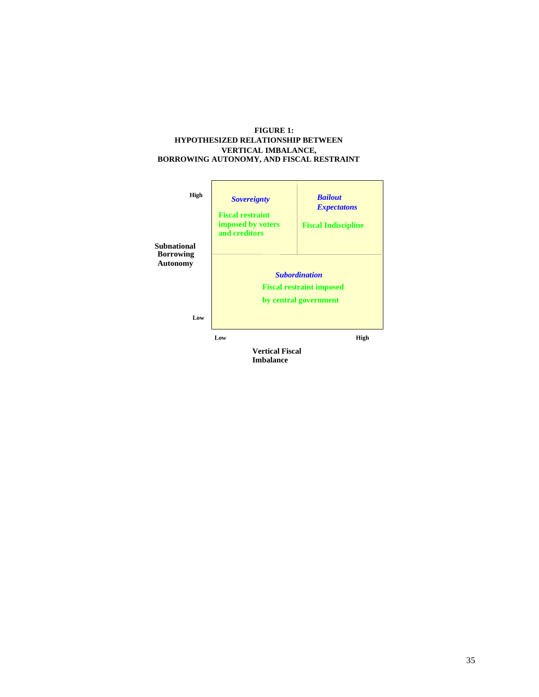### **FIGURE 1: HYPOTHESIZED RELATIONSHIP BETWEEN VERTICAL IMBALANCE, BORROWING AUTONOMY, AND FISCAL RESTRAINT**

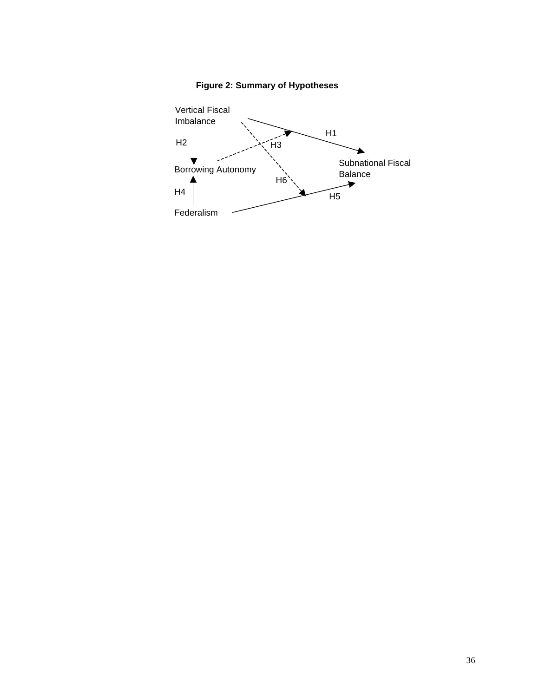

**Figure 2: Summary of Hypotheses**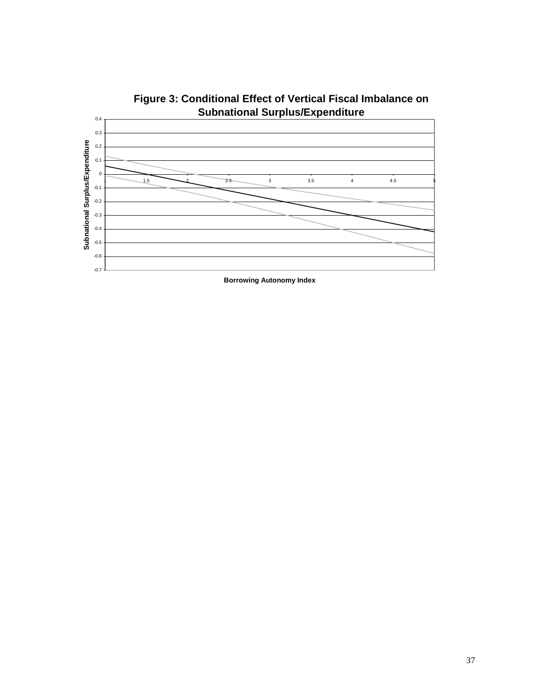

**Figure 3: Conditional Effect of Vertical Fiscal Imbalance on Subnational Surplus/Expenditure**

**Borrowing Autonomy Index**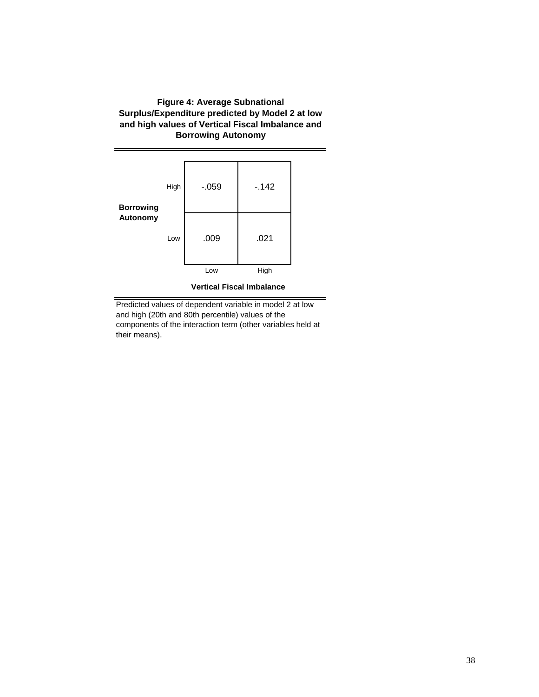# **Figure 4: Average Subnational Surplus/Expenditure predicted by Model 2 at low and high values of Vertical Fiscal Imbalance and Borrowing Autonomy**



**Vertical Fiscal Imbalance**

Predicted values of dependent variable in model 2 at low and high (20th and 80th percentile) values of the components of the interaction term (other variables held at their means).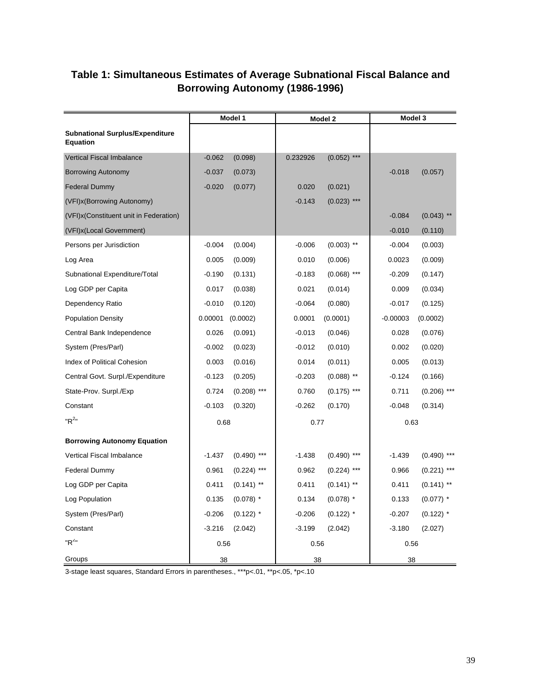# **Table 1: Simultaneous Estimates of Average Subnational Fiscal Balance and Borrowing Autonomy (1986-1996)**

|                                                           |          | Model 1       | Model 2  |               | Model 3    |               |
|-----------------------------------------------------------|----------|---------------|----------|---------------|------------|---------------|
| <b>Subnational Surplus/Expenditure</b><br><b>Equation</b> |          |               |          |               |            |               |
| <b>Vertical Fiscal Imbalance</b>                          | $-0.062$ | (0.098)       | 0.232926 | $(0.052)$ *** |            |               |
| <b>Borrowing Autonomy</b>                                 | $-0.037$ | (0.073)       |          |               | $-0.018$   | (0.057)       |
| <b>Federal Dummy</b>                                      | $-0.020$ | (0.077)       | 0.020    | (0.021)       |            |               |
| (VFI) x (Borrowing Autonomy)                              |          |               | $-0.143$ | $(0.023)$ *** |            |               |
| (VFI) x (Constituent unit in Federation)                  |          |               |          |               | $-0.084$   | $(0.043)$ **  |
| (VFI) x (Local Government)                                |          |               |          |               | $-0.010$   | (0.110)       |
| Persons per Jurisdiction                                  | $-0.004$ | (0.004)       | $-0.006$ | $(0.003)$ **  | $-0.004$   | (0.003)       |
| Log Area                                                  | 0.005    | (0.009)       | 0.010    | (0.006)       | 0.0023     | (0.009)       |
| Subnational Expenditure/Total                             | $-0.190$ | (0.131)       | $-0.183$ | $(0.068)$ *** | $-0.209$   | (0.147)       |
| Log GDP per Capita                                        | 0.017    | (0.038)       | 0.021    | (0.014)       | 0.009      | (0.034)       |
| Dependency Ratio                                          | $-0.010$ | (0.120)       | $-0.064$ | (0.080)       | $-0.017$   | (0.125)       |
| <b>Population Density</b>                                 | 0.00001  | (0.0002)      | 0.0001   | (0.0001)      | $-0.00003$ | (0.0002)      |
| Central Bank Independence                                 | 0.026    | (0.091)       | $-0.013$ | (0.046)       | 0.028      | (0.076)       |
| System (Pres/Parl)                                        | $-0.002$ | (0.023)       | $-0.012$ | (0.010)       | 0.002      | (0.020)       |
| <b>Index of Political Cohesion</b>                        | 0.003    | (0.016)       | 0.014    | (0.011)       | 0.005      | (0.013)       |
| Central Govt. Surpl./Expenditure                          | $-0.123$ | (0.205)       | $-0.203$ | $(0.088)$ **  | $-0.124$   | (0.166)       |
| State-Prov. Surpl./Exp                                    | 0.724    | $(0.208)$ *** | 0.760    | $(0.175)$ *** | 0.711      | $(0.206)$ *** |
| Constant                                                  | $-0.103$ | (0.320)       | $-0.262$ | (0.170)       | $-0.048$   | (0.314)       |
| "R <sup>2"</sup>                                          | 0.68     |               | 0.77     |               | 0.63       |               |
| <b>Borrowing Autonomy Equation</b>                        |          |               |          |               |            |               |
| Vertical Fiscal Imbalance                                 | $-1.437$ | $(0.490)$ *** | $-1.438$ | $(0.490)$ *** | $-1.439$   | $(0.490)$ *** |
| <b>Federal Dummy</b>                                      | 0.961    | $(0.224)$ *** | 0.962    | $(0.224)$ *** | 0.966      | $(0.221)$ *** |
| Log GDP per Capita                                        | 0.411    | $(0.141)$ **  | 0.411    | $(0.141)$ **  | 0.411      | $(0.141)$ **  |
| Log Population                                            | 0.135    | $(0.078)$ *   | 0.134    | $(0.078)$ *   | 0.133      | $(0.077)$ *   |
| System (Pres/Parl)                                        | $-0.206$ | $(0.122)$ *   | $-0.206$ | $(0.122)$ *   | $-0.207$   | $(0.122)$ *   |
| Constant                                                  | $-3.216$ | (2.042)       | $-3.199$ | (2.042)       | $-3.180$   | (2.027)       |
| "R <sup>2</sup> "                                         | 0.56     |               | 0.56     |               | 0.56       |               |
| Groups                                                    | 38       |               | 38       |               | 38         |               |

3-stage least squares, Standard Errors in parentheses., \*\*\*p<.01, \*\*p<.05, \*p<.10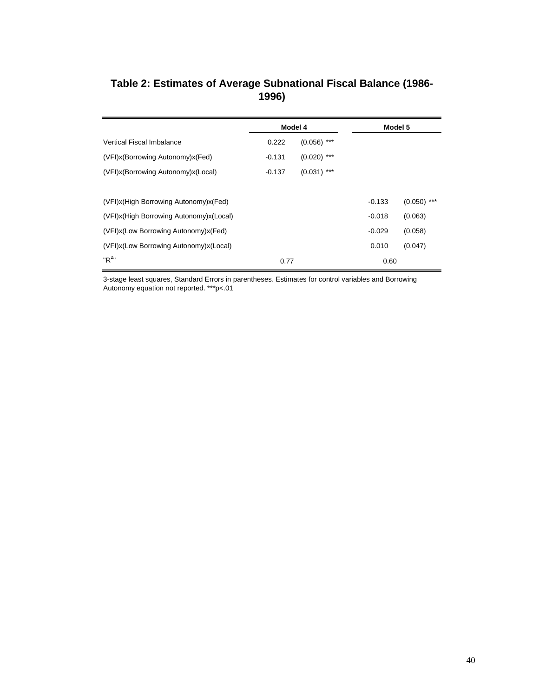# **Table 2: Estimates of Average Subnational Fiscal Balance (1986- 1996)**

|                                             | Model 4  |               | Model 5  |               |
|---------------------------------------------|----------|---------------|----------|---------------|
| Vertical Fiscal Imbalance                   | 0.222    | $(0.056)$ *** |          |               |
| (VFI)x(Borrowing Autonomy)x(Fed)            | $-0.131$ | $(0.020)$ *** |          |               |
| (VFI)x(Borrowing Autonomy)x(Local)          | $-0.137$ | $(0.031)$ *** |          |               |
|                                             |          |               |          |               |
| (VFI) x (High Borrowing Autonomy) x (Fed)   |          |               | $-0.133$ | $(0.050)$ *** |
| (VFI) x (High Borrowing Autonomy) x (Local) |          |               | $-0.018$ | (0.063)       |
| (VFI) x (Low Borrowing Autonomy) x (Fed)    |          |               | $-0.029$ | (0.058)       |
| (VFI) x (Low Borrowing Autonomy) x (Local)  |          |               | 0.010    | (0.047)       |
| " $R^{2n}$                                  | 0.77     |               | 0.60     |               |

3-stage least squares, Standard Errors in parentheses. Estimates for control variables and Borrowing Autonomy equation not reported. \*\*\*p<.01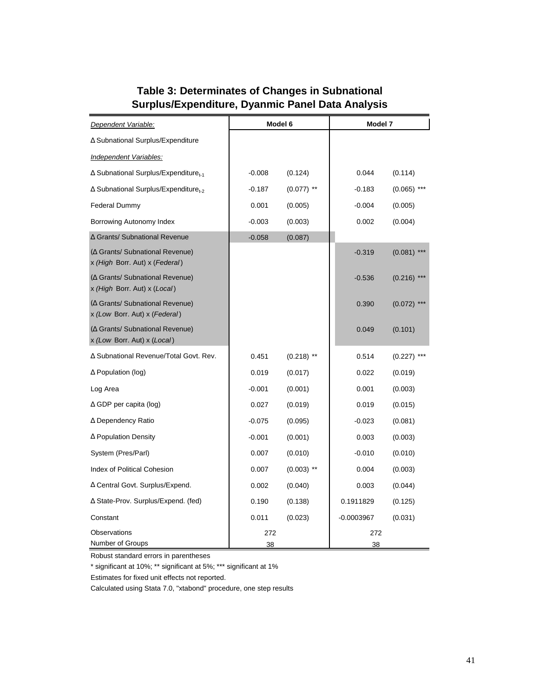# **Table 3: Determinates of Changes in Subnational Surplus/Expenditure, Dyanmic Panel Data Analysis**

| Dependent Variable:                                                       |           | Model 6      | Model 7      |               |
|---------------------------------------------------------------------------|-----------|--------------|--------------|---------------|
| ∆ Subnational Surplus/Expenditure                                         |           |              |              |               |
| Independent Variables:                                                    |           |              |              |               |
| ∆ Subnational Surplus/Expenditure <sub>t-1</sub>                          | $-0.008$  | (0.124)      | 0.044        | (0.114)       |
| $\Delta$ Subnational Surplus/Expenditure <sub>t-2</sub>                   | $-0.187$  | $(0.077)$ ** | $-0.183$     | $(0.065)$ *** |
| <b>Federal Dummy</b>                                                      | 0.001     | (0.005)      | $-0.004$     | (0.005)       |
| Borrowing Autonomy Index                                                  | $-0.003$  | (0.003)      | 0.002        | (0.004)       |
| ∆ Grants/ Subnational Revenue                                             | $-0.058$  | (0.087)      |              |               |
| ( $\Delta$ Grants/ Subnational Revenue)<br>x (High Borr. Aut) x (Federal) |           |              | $-0.319$     | $(0.081)$ *** |
| ( $\Delta$ Grants/ Subnational Revenue)<br>x (High Borr. Aut) x (Local)   |           |              | $-0.536$     | $(0.216)$ *** |
| ( $\Delta$ Grants/ Subnational Revenue)<br>x (Low Borr. Aut) x (Federal)  |           |              | 0.390        | $(0.072)$ *** |
| ( $\Delta$ Grants/ Subnational Revenue)<br>x (Low Borr. Aut) x (Local)    |           |              | 0.049        | (0.101)       |
| ∆ Subnational Revenue/Total Govt. Rev.                                    | 0.451     | $(0.218)$ ** | 0.514        | $(0.227)$ *** |
| $\Delta$ Population (log)                                                 | 0.019     | (0.017)      | 0.022        | (0.019)       |
| Log Area                                                                  | $-0.001$  | (0.001)      | 0.001        | (0.003)       |
| $\Delta$ GDP per capita (log)                                             | 0.027     | (0.019)      | 0.019        | (0.015)       |
| ∆ Dependency Ratio                                                        | $-0.075$  | (0.095)      | $-0.023$     | (0.081)       |
| $\Delta$ Population Density                                               | $-0.001$  | (0.001)      | 0.003        | (0.003)       |
| System (Pres/Parl)                                                        | 0.007     | (0.010)      | $-0.010$     | (0.010)       |
| Index of Political Cohesion                                               | 0.007     | $(0.003)$ ** | 0.004        | (0.003)       |
| ∆ Central Govt. Surplus/Expend.                                           | 0.002     | (0.040)      | 0.003        | (0.044)       |
| $\Delta$ State-Prov. Surplus/Expend. (fed)                                | 0.190     | (0.138)      | 0.1911829    | (0.125)       |
| Constant                                                                  | 0.011     | (0.023)      | $-0.0003967$ | (0.031)       |
| Observations<br>Number of Groups                                          | 272<br>38 |              | 272<br>38    |               |

Robust standard errors in parentheses

\* significant at 10%; \*\* significant at 5%; \*\*\* significant at 1%

Estimates for fixed unit effects not reported.

Calculated using Stata 7.0, "xtabond" procedure, one step results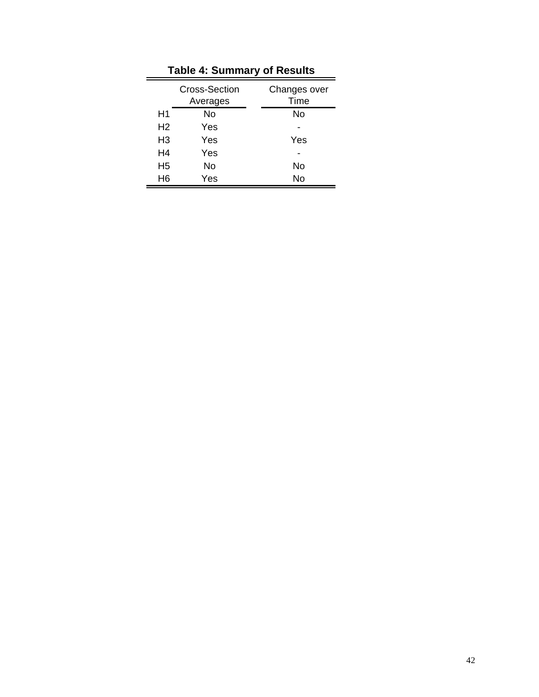|                | <b>Cross-Section</b><br>Averages | Changes over<br>Time |
|----------------|----------------------------------|----------------------|
| H1             | Nο                               | No                   |
| H <sub>2</sub> | Yes                              |                      |
| H <sub>3</sub> | Yes                              | Yes                  |
| H4             | Yes                              |                      |
| H <sub>5</sub> | No                               | No                   |
| H <sub>6</sub> | Yes                              | No                   |

**Table 4: Summary of Results**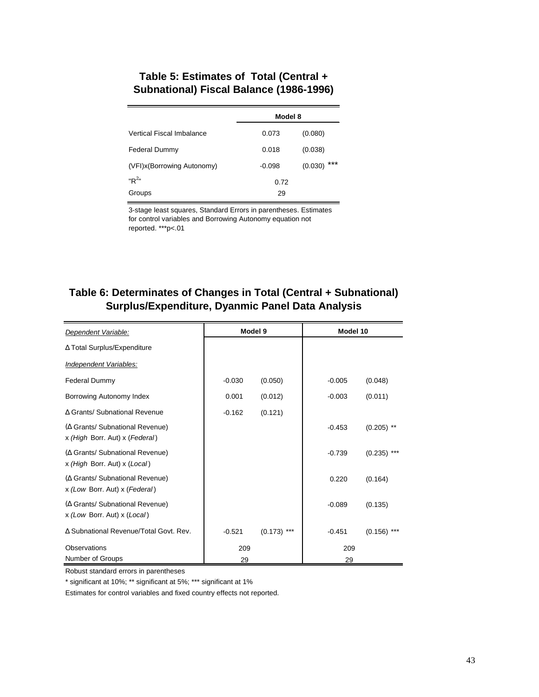# **Table 5: Estimates of Total (Central + Subnational) Fiscal Balance (1986-1996)**

|                            | Model 8  |                |  |
|----------------------------|----------|----------------|--|
| Vertical Fiscal Imbalance  | 0.073    | (0.080)        |  |
| <b>Federal Dummy</b>       | 0.018    | (0.038)        |  |
| (VFI)x(Borrowing Autonomy) | $-0.098$ | ***<br>(0.030) |  |
| " $R^{2n}$                 | 0.72     |                |  |
| Groups                     | 29       |                |  |

3-stage least squares, Standard Errors in parentheses. Estimates for control variables and Borrowing Autonomy equation not reported. \*\*\*p<.01

# **Table 6: Determinates of Changes in Total (Central + Subnational) Surplus/Expenditure, Dyanmic Panel Data Analysis**

| Dependent Variable:                                                       |          | Model 9       | Model 10 |               |
|---------------------------------------------------------------------------|----------|---------------|----------|---------------|
| ∆ Total Surplus/Expenditure                                               |          |               |          |               |
| Independent Variables:                                                    |          |               |          |               |
| <b>Federal Dummy</b>                                                      | $-0.030$ | (0.050)       | $-0.005$ | (0.048)       |
| Borrowing Autonomy Index                                                  | 0.001    | (0.012)       | $-0.003$ | (0.011)       |
| ∆ Grants/ Subnational Revenue                                             | $-0.162$ | (0.121)       |          |               |
| ( $\Delta$ Grants/ Subnational Revenue)<br>x (High Borr. Aut) x (Federal) |          |               | $-0.453$ | $(0.205)$ **  |
| ( $\Delta$ Grants/ Subnational Revenue)<br>x (High Borr. Aut) x (Local)   |          |               | $-0.739$ | $(0.235)$ *** |
| ( $\Delta$ Grants/ Subnational Revenue)<br>x (Low Borr. Aut) x (Federal)  |          |               | 0.220    | (0.164)       |
| ( $\Delta$ Grants/ Subnational Revenue)<br>x (Low Borr. Aut) x (Local)    |          |               | $-0.089$ | (0.135)       |
| A Subnational Revenue/Total Govt, Rev.                                    | $-0.521$ | $(0.173)$ *** | $-0.451$ | (0.156)       |
| Observations                                                              | 209      |               | 209      |               |
| Number of Groups                                                          | 29       |               | 29       |               |

Robust standard errors in parentheses

\* significant at 10%; \*\* significant at 5%; \*\*\* significant at 1%

Estimates for control variables and fixed country effects not reported.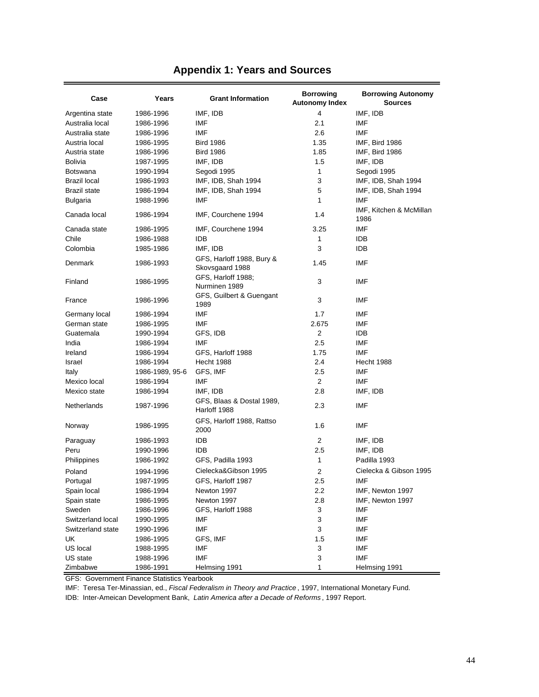|  |  |  |  |  |  | <b>Appendix 1: Years and Sources</b> |
|--|--|--|--|--|--|--------------------------------------|
|--|--|--|--|--|--|--------------------------------------|

| Case                | Years           | <b>Grant Information</b>                     | <b>Borrowing</b><br><b>Autonomy Index</b> | <b>Borrowing Autonomy</b><br><b>Sources</b> |
|---------------------|-----------------|----------------------------------------------|-------------------------------------------|---------------------------------------------|
| Argentina state     | 1986-1996       | IMF, IDB                                     | 4                                         | IMF, IDB                                    |
| Australia local     | 1986-1996       | IMF                                          | 2.1                                       | IMF                                         |
| Australia state     | 1986-1996       | IMF                                          | 2.6                                       | IMF                                         |
| Austria local       | 1986-1995       | <b>Bird 1986</b>                             | 1.35                                      | IMF, Bird 1986                              |
| Austria state       | 1986-1996       | <b>Bird 1986</b>                             | 1.85                                      | IMF, Bird 1986                              |
| <b>Bolivia</b>      | 1987-1995       | IMF, IDB                                     | 1.5                                       | IMF, IDB                                    |
| <b>Botswana</b>     | 1990-1994       | Segodi 1995                                  | 1                                         | Segodi 1995                                 |
| <b>Brazil local</b> | 1986-1993       | IMF, IDB, Shah 1994                          | 3                                         | IMF, IDB, Shah 1994                         |
| <b>Brazil state</b> | 1986-1994       | IMF, IDB, Shah 1994                          | 5                                         | IMF, IDB, Shah 1994                         |
| <b>Bulgaria</b>     | 1988-1996       | IMF                                          | $\mathbf{1}$                              | IMF                                         |
| Canada local        | 1986-1994       | IMF, Courchene 1994                          | 1.4                                       | IMF, Kitchen & McMillan<br>1986             |
| Canada state        | 1986-1995       | IMF, Courchene 1994                          | 3.25                                      | IMF                                         |
| Chile               | 1986-1988       | idb                                          | 1                                         | IDB                                         |
| Colombia            | 1985-1986       | IMF, IDB                                     | 3                                         | <b>IDB</b>                                  |
| Denmark             | 1986-1993       | GFS, Harloff 1988, Bury &<br>Skovsgaard 1988 | 1.45                                      | IMF                                         |
| Finland             | 1986-1995       | GFS, Harloff 1988;<br>Nurminen 1989          | 3                                         | IMF                                         |
| France              | 1986-1996       | GFS, Guilbert & Guengant<br>1989             | 3                                         | IMF                                         |
| Germany local       | 1986-1994       | IMF                                          | 1.7                                       | IMF                                         |
| German state        | 1986-1995       | IMF                                          | 2.675                                     | IMF                                         |
| Guatemala           | 1990-1994       | GFS, IDB                                     | 2                                         | <b>IDB</b>                                  |
| India               | 1986-1994       | IMF                                          | 2.5                                       | IMF                                         |
| Ireland             | 1986-1994       | GFS, Harloff 1988                            | 1.75                                      | IMF                                         |
| Israel              | 1986-1994       | <b>Hecht 1988</b>                            | 2.4                                       | <b>Hecht 1988</b>                           |
| Italy               | 1986-1989, 95-6 | GFS, IMF                                     | 2.5                                       | IMF                                         |
| Mexico local        | 1986-1994       | IMF                                          | 2                                         | IMF                                         |
| Mexico state        | 1986-1994       | IMF, IDB                                     | 2.8                                       | IMF, IDB                                    |
| Netherlands         | 1987-1996       | GFS, Blaas & Dostal 1989,<br>Harloff 1988    | 2.3                                       | IMF                                         |
| Norway              | 1986-1995       | GFS, Harloff 1988, Rattso<br>2000            | 1.6                                       | IMF                                         |
| Paraguay            | 1986-1993       | IDB                                          | 2                                         | IMF, IDB                                    |
| Peru                | 1990-1996       | idb                                          | 2.5                                       | IMF, IDB                                    |
| Philippines         | 1986-1992       | GFS, Padilla 1993                            | 1                                         | Padilla 1993                                |
| Poland              | 1994-1996       | Cielecka&Gibson 1995                         | 2                                         | Cielecka & Gibson 1995                      |
| Portugal            | 1987-1995       | GFS, Harloff 1987                            | 2.5                                       | IMF                                         |
| Spain local         | 1986-1994       | Newton 1997                                  | 2.2                                       | IMF, Newton 1997                            |
| Spain state         | 1986-1995       | Newton 1997                                  | 2.8                                       | IMF, Newton 1997                            |
| Sweden              | 1986-1996       | GFS, Harloff 1988                            | 3                                         | IMF                                         |
| Switzerland local   | 1990-1995       | IMF                                          | 3                                         | IMF                                         |
| Switzerland state   | 1990-1996       | IMF                                          | 3                                         | IMF                                         |
| UK                  | 1986-1995       | GFS, IMF                                     | 1.5                                       | IMF                                         |
| US local            | 1988-1995       | IMF                                          | 3                                         | IMF                                         |
| US state            | 1988-1996       | <b>IMF</b>                                   | 3                                         | <b>IMF</b>                                  |
| Zimbabwe            | 1986-1991       | Helmsing 1991                                | 1                                         | Helmsing 1991                               |

GFS: Government Finance Statistics Yearbook

IMF: Teresa Ter-Minassian, ed., *Fiscal Federalism in Theory and Practice* , 1997, International Monetary Fund.

IDB: Inter-Ameican Development Bank, *Latin America after a Decade of Reforms* , 1997 Report.